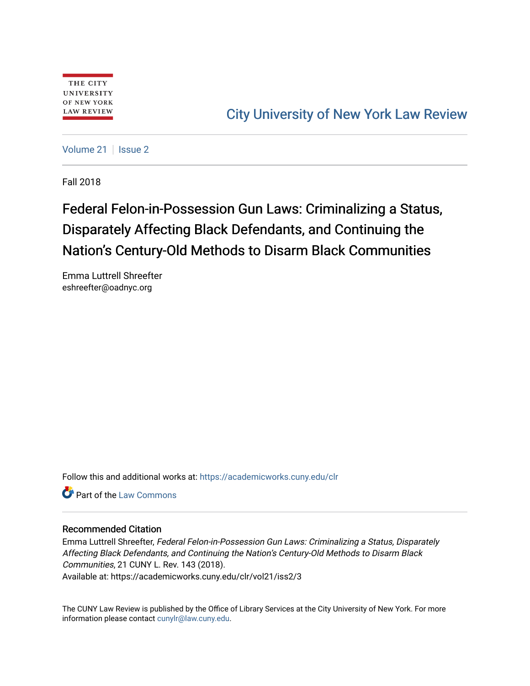# [City University of New York Law Review](https://academicworks.cuny.edu/clr)

[Volume 21](https://academicworks.cuny.edu/clr/vol21) | [Issue 2](https://academicworks.cuny.edu/clr/vol21/iss2)

Fall 2018

# Federal Felon-in-Possession Gun Laws: Criminalizing a Status, Disparately Affecting Black Defendants, and Continuing the Nation's Century-Old Methods to Disarm Black Communities

Emma Luttrell Shreefter eshreefter@oadnyc.org

Follow this and additional works at: [https://academicworks.cuny.edu/clr](https://academicworks.cuny.edu/clr?utm_source=academicworks.cuny.edu%2Fclr%2Fvol21%2Fiss2%2F3&utm_medium=PDF&utm_campaign=PDFCoverPages) 

Part of the [Law Commons](http://network.bepress.com/hgg/discipline/578?utm_source=academicworks.cuny.edu%2Fclr%2Fvol21%2Fiss2%2F3&utm_medium=PDF&utm_campaign=PDFCoverPages)

#### Recommended Citation

Emma Luttrell Shreefter, Federal Felon-in-Possession Gun Laws: Criminalizing a Status, Disparately Affecting Black Defendants, and Continuing the Nation's Century-Old Methods to Disarm Black Communities, 21 CUNY L. Rev. 143 (2018). Available at: https://academicworks.cuny.edu/clr/vol21/iss2/3

The CUNY Law Review is published by the Office of Library Services at the City University of New York. For more information please contact [cunylr@law.cuny.edu](mailto:cunylr@law.cuny.edu).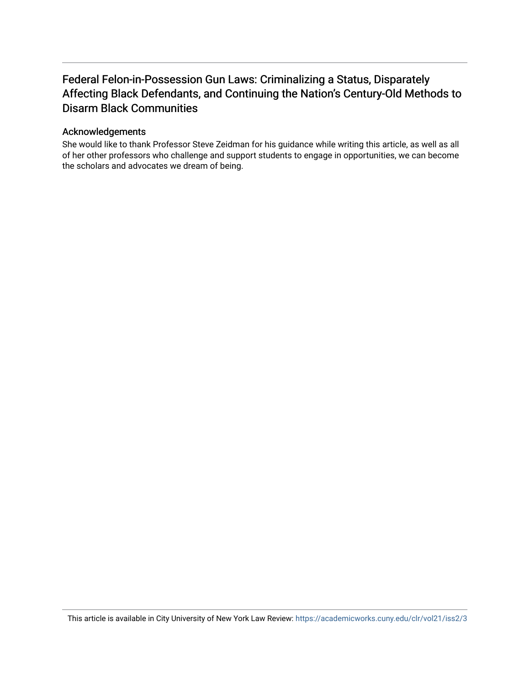## Federal Felon-in-Possession Gun Laws: Criminalizing a Status, Disparately Affecting Black Defendants, and Continuing the Nation's Century-Old Methods to Disarm Black Communities

#### Acknowledgements

She would like to thank Professor Steve Zeidman for his guidance while writing this article, as well as all of her other professors who challenge and support students to engage in opportunities, we can become the scholars and advocates we dream of being.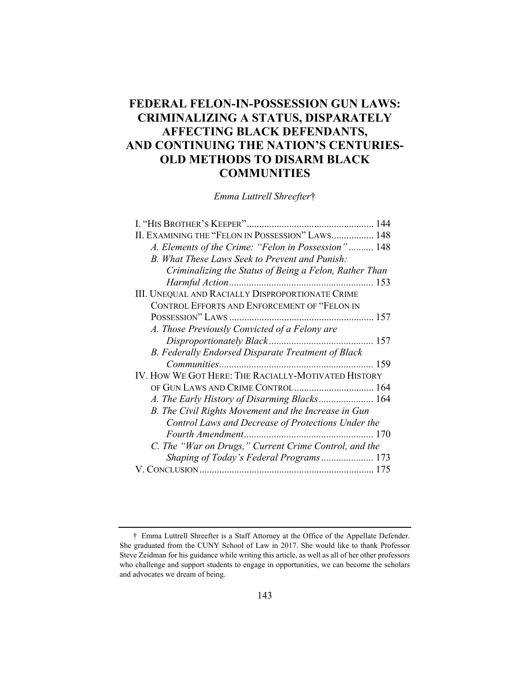## **FEDERAL FELON-IN-POSSESSION GUN LAWS: CRIMINALIZING A STATUS, DISPARATELY AFFECTING BLACK DEFENDANTS, AND CONTINUING THE NATION'S CENTURIES-OLD METHODS TO DISARM BLACK COMMUNITIES**

*Emma Luttrell Shreefter*†

| 144                                                     |
|---------------------------------------------------------|
| II. EXAMINING THE "FELON IN POSSESSION" LAWS 148        |
| A. Elements of the Crime: "Felon in Possession" 148     |
| B. What These Laws Seek to Prevent and Punish:          |
| Criminalizing the Status of Being a Felon, Rather Than  |
| 153                                                     |
| <b>III. UNEQUAL AND RACIALLY DISPROPORTIONATE CRIME</b> |
| CONTROL EFFORTS AND ENFORCEMENT OF "FELON IN            |
|                                                         |
| A. Those Previously Convicted of a Felony are           |
|                                                         |
| B. Federally Endorsed Disparate Treatment of Black      |
| 159                                                     |
| IV. HOW WE GOT HERE: THE RACIALLY-MOTIVATED HISTORY     |
| OF GUN LAWS AND CRIME CONTROL 164                       |
| A. The Early History of Disarming Blacks 164            |
| B. The Civil Rights Movement and the Increase in Gun    |
| Control Laws and Decrease of Protections Under the      |
| 170                                                     |
| C. The "War on Drugs," Current Crime Control, and the   |
| Shaping of Today's Federal Programs 173                 |
| 175                                                     |

 <sup>†</sup> Emma Luttrell Shreefter is a Staff Attorney at the Office of the Appellate Defender. She graduated from the CUNY School of Law in 2017. She would like to thank Professor Steve Zeidman for his guidance while writing this article, as well as all of her other professors who challenge and support students to engage in opportunities, we can become the scholars and advocates we dream of being.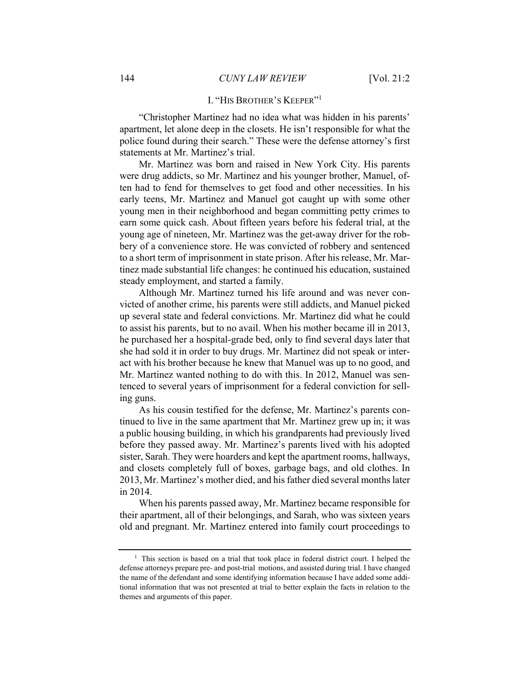#### I. "HIS BROTHER'S KEEPER"<sup>1</sup>

"Christopher Martinez had no idea what was hidden in his parents' apartment, let alone deep in the closets. He isn't responsible for what the police found during their search." These were the defense attorney's first statements at Mr. Martinez's trial.

Mr. Martinez was born and raised in New York City. His parents were drug addicts, so Mr. Martinez and his younger brother, Manuel, often had to fend for themselves to get food and other necessities. In his early teens, Mr. Martinez and Manuel got caught up with some other young men in their neighborhood and began committing petty crimes to earn some quick cash. About fifteen years before his federal trial, at the young age of nineteen, Mr. Martinez was the get-away driver for the robbery of a convenience store. He was convicted of robbery and sentenced to a short term of imprisonment in state prison. After his release, Mr. Martinez made substantial life changes: he continued his education, sustained steady employment, and started a family.

Although Mr. Martinez turned his life around and was never convicted of another crime, his parents were still addicts, and Manuel picked up several state and federal convictions. Mr. Martinez did what he could to assist his parents, but to no avail. When his mother became ill in 2013, he purchased her a hospital-grade bed, only to find several days later that she had sold it in order to buy drugs. Mr. Martinez did not speak or interact with his brother because he knew that Manuel was up to no good, and Mr. Martinez wanted nothing to do with this. In 2012, Manuel was sentenced to several years of imprisonment for a federal conviction for selling guns.

As his cousin testified for the defense, Mr. Martinez's parents continued to live in the same apartment that Mr. Martinez grew up in; it was a public housing building, in which his grandparents had previously lived before they passed away. Mr. Martinez's parents lived with his adopted sister, Sarah. They were hoarders and kept the apartment rooms, hallways, and closets completely full of boxes, garbage bags, and old clothes. In 2013, Mr. Martinez's mother died, and his father died several months later in 2014.

When his parents passed away, Mr. Martinez became responsible for their apartment, all of their belongings, and Sarah, who was sixteen years old and pregnant. Mr. Martinez entered into family court proceedings to

<sup>&</sup>lt;sup>1</sup> This section is based on a trial that took place in federal district court. I helped the defense attorneys prepare pre- and post-trial motions, and assisted during trial. I have changed the name of the defendant and some identifying information because I have added some additional information that was not presented at trial to better explain the facts in relation to the themes and arguments of this paper.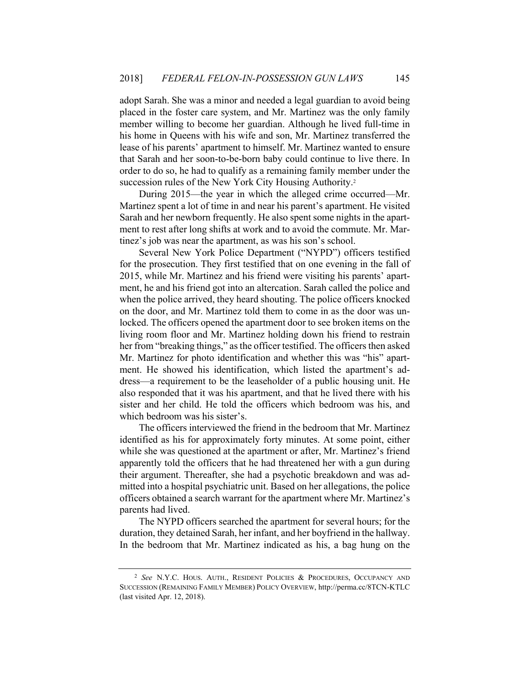adopt Sarah. She was a minor and needed a legal guardian to avoid being placed in the foster care system, and Mr. Martinez was the only family member willing to become her guardian. Although he lived full-time in his home in Queens with his wife and son, Mr. Martinez transferred the lease of his parents' apartment to himself. Mr. Martinez wanted to ensure that Sarah and her soon-to-be-born baby could continue to live there. In order to do so, he had to qualify as a remaining family member under the succession rules of the New York City Housing Authority.<sup>2</sup>

During 2015—the year in which the alleged crime occurred—Mr. Martinez spent a lot of time in and near his parent's apartment. He visited Sarah and her newborn frequently. He also spent some nights in the apartment to rest after long shifts at work and to avoid the commute. Mr. Martinez's job was near the apartment, as was his son's school.

Several New York Police Department ("NYPD") officers testified for the prosecution. They first testified that on one evening in the fall of 2015, while Mr. Martinez and his friend were visiting his parents' apartment, he and his friend got into an altercation. Sarah called the police and when the police arrived, they heard shouting. The police officers knocked on the door, and Mr. Martinez told them to come in as the door was unlocked. The officers opened the apartment door to see broken items on the living room floor and Mr. Martinez holding down his friend to restrain her from "breaking things," as the officer testified. The officers then asked Mr. Martinez for photo identification and whether this was "his" apartment. He showed his identification, which listed the apartment's address—a requirement to be the leaseholder of a public housing unit. He also responded that it was his apartment, and that he lived there with his sister and her child. He told the officers which bedroom was his, and which bedroom was his sister's.

The officers interviewed the friend in the bedroom that Mr. Martinez identified as his for approximately forty minutes. At some point, either while she was questioned at the apartment or after, Mr. Martinez's friend apparently told the officers that he had threatened her with a gun during their argument. Thereafter, she had a psychotic breakdown and was admitted into a hospital psychiatric unit. Based on her allegations, the police officers obtained a search warrant for the apartment where Mr. Martinez's parents had lived.

The NYPD officers searched the apartment for several hours; for the duration, they detained Sarah, her infant, and her boyfriend in the hallway. In the bedroom that Mr. Martinez indicated as his, a bag hung on the

<sup>2</sup> *See* N.Y.C. HOUS. AUTH., RESIDENT POLICIES & PROCEDURES, OCCUPANCY AND SUCCESSION (REMAINING FAMILY MEMBER) POLICY OVERVIEW, http://perma.cc/8TCN-KTLC (last visited Apr. 12, 2018).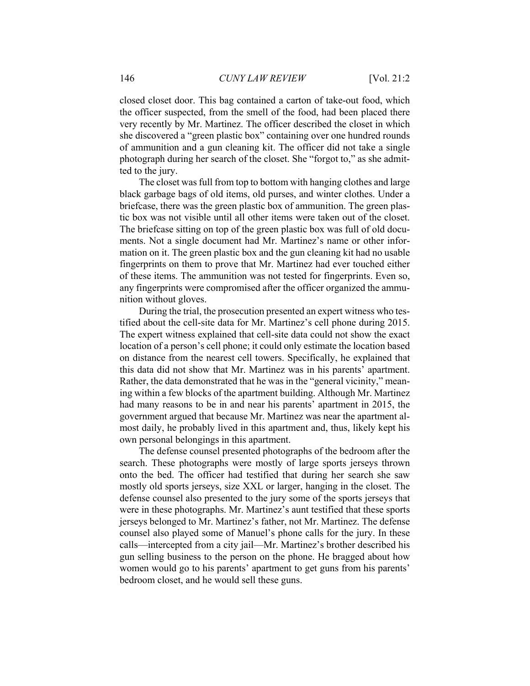closed closet door. This bag contained a carton of take-out food, which the officer suspected, from the smell of the food, had been placed there very recently by Mr. Martinez. The officer described the closet in which she discovered a "green plastic box" containing over one hundred rounds of ammunition and a gun cleaning kit. The officer did not take a single photograph during her search of the closet. She "forgot to," as she admitted to the jury.

The closet was full from top to bottom with hanging clothes and large black garbage bags of old items, old purses, and winter clothes. Under a briefcase, there was the green plastic box of ammunition. The green plastic box was not visible until all other items were taken out of the closet. The briefcase sitting on top of the green plastic box was full of old documents. Not a single document had Mr. Martinez's name or other information on it. The green plastic box and the gun cleaning kit had no usable fingerprints on them to prove that Mr. Martinez had ever touched either of these items. The ammunition was not tested for fingerprints. Even so, any fingerprints were compromised after the officer organized the ammunition without gloves.

During the trial, the prosecution presented an expert witness who testified about the cell-site data for Mr. Martinez's cell phone during 2015. The expert witness explained that cell-site data could not show the exact location of a person's cell phone; it could only estimate the location based on distance from the nearest cell towers. Specifically, he explained that this data did not show that Mr. Martinez was in his parents' apartment. Rather, the data demonstrated that he was in the "general vicinity," meaning within a few blocks of the apartment building. Although Mr. Martinez had many reasons to be in and near his parents' apartment in 2015, the government argued that because Mr. Martinez was near the apartment almost daily, he probably lived in this apartment and, thus, likely kept his own personal belongings in this apartment.

The defense counsel presented photographs of the bedroom after the search. These photographs were mostly of large sports jerseys thrown onto the bed. The officer had testified that during her search she saw mostly old sports jerseys, size XXL or larger, hanging in the closet. The defense counsel also presented to the jury some of the sports jerseys that were in these photographs. Mr. Martinez's aunt testified that these sports jerseys belonged to Mr. Martinez's father, not Mr. Martinez. The defense counsel also played some of Manuel's phone calls for the jury. In these calls—intercepted from a city jail—Mr. Martinez's brother described his gun selling business to the person on the phone. He bragged about how women would go to his parents' apartment to get guns from his parents' bedroom closet, and he would sell these guns.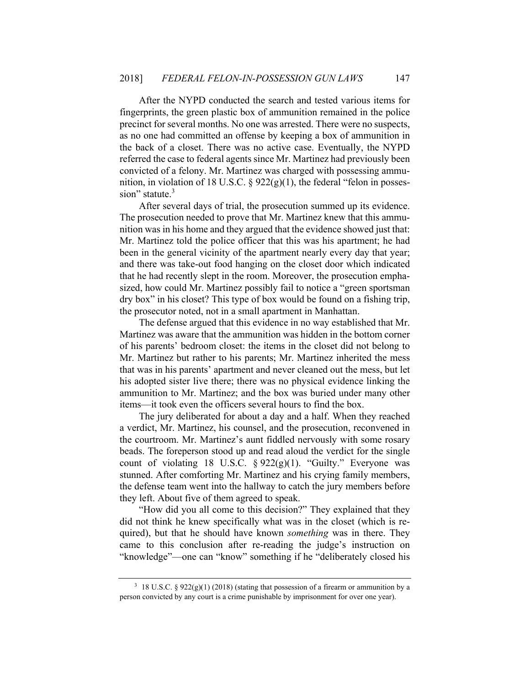After the NYPD conducted the search and tested various items for fingerprints, the green plastic box of ammunition remained in the police precinct for several months. No one was arrested. There were no suspects, as no one had committed an offense by keeping a box of ammunition in the back of a closet. There was no active case. Eventually, the NYPD referred the case to federal agents since Mr. Martinez had previously been convicted of a felony. Mr. Martinez was charged with possessing ammunition, in violation of 18 U.S.C.  $\S$  922(g)(1), the federal "felon in possession" statute.<sup>3</sup>

After several days of trial, the prosecution summed up its evidence. The prosecution needed to prove that Mr. Martinez knew that this ammunition was in his home and they argued that the evidence showed just that: Mr. Martinez told the police officer that this was his apartment; he had been in the general vicinity of the apartment nearly every day that year; and there was take-out food hanging on the closet door which indicated that he had recently slept in the room. Moreover, the prosecution emphasized, how could Mr. Martinez possibly fail to notice a "green sportsman dry box" in his closet? This type of box would be found on a fishing trip, the prosecutor noted, not in a small apartment in Manhattan.

The defense argued that this evidence in no way established that Mr. Martinez was aware that the ammunition was hidden in the bottom corner of his parents' bedroom closet: the items in the closet did not belong to Mr. Martinez but rather to his parents; Mr. Martinez inherited the mess that was in his parents' apartment and never cleaned out the mess, but let his adopted sister live there; there was no physical evidence linking the ammunition to Mr. Martinez; and the box was buried under many other items—it took even the officers several hours to find the box.

The jury deliberated for about a day and a half. When they reached a verdict, Mr. Martinez, his counsel, and the prosecution, reconvened in the courtroom. Mr. Martinez's aunt fiddled nervously with some rosary beads. The foreperson stood up and read aloud the verdict for the single count of violating 18 U.S.C.  $\S 922(g)(1)$ . "Guilty." Everyone was stunned. After comforting Mr. Martinez and his crying family members, the defense team went into the hallway to catch the jury members before they left. About five of them agreed to speak.

"How did you all come to this decision?" They explained that they did not think he knew specifically what was in the closet (which is required), but that he should have known *something* was in there. They came to this conclusion after re-reading the judge's instruction on "knowledge"—one can "know" something if he "deliberately closed his

<sup>&</sup>lt;sup>3</sup> 18 U.S.C. § 922(g)(1) (2018) (stating that possession of a firearm or ammunition by a person convicted by any court is a crime punishable by imprisonment for over one year).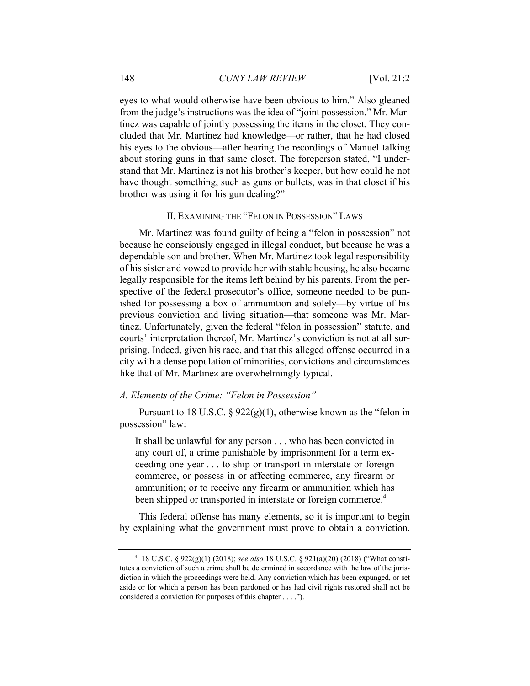eyes to what would otherwise have been obvious to him." Also gleaned from the judge's instructions was the idea of "joint possession." Mr. Martinez was capable of jointly possessing the items in the closet. They concluded that Mr. Martinez had knowledge—or rather, that he had closed his eyes to the obvious—after hearing the recordings of Manuel talking about storing guns in that same closet. The foreperson stated, "I understand that Mr. Martinez is not his brother's keeper, but how could he not have thought something, such as guns or bullets, was in that closet if his brother was using it for his gun dealing?"

#### II. EXAMINING THE "FELON IN POSSESSION" LAWS

Mr. Martinez was found guilty of being a "felon in possession" not because he consciously engaged in illegal conduct, but because he was a dependable son and brother. When Mr. Martinez took legal responsibility of his sister and vowed to provide her with stable housing, he also became legally responsible for the items left behind by his parents. From the perspective of the federal prosecutor's office, someone needed to be punished for possessing a box of ammunition and solely—by virtue of his previous conviction and living situation—that someone was Mr. Martinez. Unfortunately, given the federal "felon in possession" statute, and courts' interpretation thereof, Mr. Martinez's conviction is not at all surprising. Indeed, given his race, and that this alleged offense occurred in a city with a dense population of minorities, convictions and circumstances like that of Mr. Martinez are overwhelmingly typical.

#### *A. Elements of the Crime: "Felon in Possession"*

Pursuant to 18 U.S.C. §  $922(g)(1)$ , otherwise known as the "felon in possession" law:

It shall be unlawful for any person . . . who has been convicted in any court of, a crime punishable by imprisonment for a term exceeding one year . . . to ship or transport in interstate or foreign commerce, or possess in or affecting commerce, any firearm or ammunition; or to receive any firearm or ammunition which has been shipped or transported in interstate or foreign commerce.<sup>4</sup>

This federal offense has many elements, so it is important to begin by explaining what the government must prove to obtain a conviction.

<sup>4 18</sup> U.S.C. § 922(g)(1) (2018); *see also* 18 U.S.C. § 921(a)(20) (2018) ("What constitutes a conviction of such a crime shall be determined in accordance with the law of the jurisdiction in which the proceedings were held. Any conviction which has been expunged, or set aside or for which a person has been pardoned or has had civil rights restored shall not be considered a conviction for purposes of this chapter . . . .").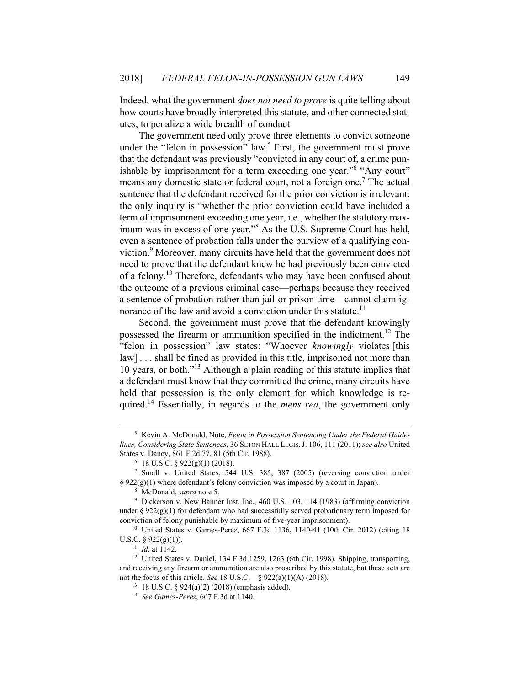Indeed, what the government *does not need to prove* is quite telling about how courts have broadly interpreted this statute, and other connected statutes, to penalize a wide breadth of conduct.

The government need only prove three elements to convict someone under the "felon in possession" law.<sup>5</sup> First, the government must prove that the defendant was previously "convicted in any court of, a crime punishable by imprisonment for a term exceeding one year."<sup>6</sup> "Any court" means any domestic state or federal court, not a foreign one.<sup>7</sup> The actual sentence that the defendant received for the prior conviction is irrelevant; the only inquiry is "whether the prior conviction could have included a term of imprisonment exceeding one year, i.e., whether the statutory maximum was in excess of one year."<sup>8</sup> As the U.S. Supreme Court has held, even a sentence of probation falls under the purview of a qualifying conviction.<sup>9</sup> Moreover, many circuits have held that the government does not need to prove that the defendant knew he had previously been convicted of a felony.10 Therefore, defendants who may have been confused about the outcome of a previous criminal case—perhaps because they received a sentence of probation rather than jail or prison time—cannot claim ignorance of the law and avoid a conviction under this statute.<sup>11</sup>

Second, the government must prove that the defendant knowingly possessed the firearm or ammunition specified in the indictment. 12 The "felon in possession" law states: "Whoever *knowingly* violates [this law] . . . shall be fined as provided in this title, imprisoned not more than 10 years, or both."13 Although a plain reading of this statute implies that a defendant must know that they committed the crime, many circuits have held that possession is the only element for which knowledge is required.14 Essentially, in regards to the *mens rea*, the government only

<sup>5</sup> Kevin A. McDonald, Note, *Felon in Possession Sentencing Under the Federal Guidelines, Considering State Sentences*, 36 SETON HALL LEGIS.J. 106, 111 (2011); *see also* United States v. Dancy, 861 F.2d 77, 81 (5th Cir. 1988).<br><sup>6</sup> 18 U.S.C. § 922(g)(1) (2018).

<sup>7</sup> Small v. United States, 544 U.S. 385, 387 (2005) (reversing conviction under § 922(g)(1) where defendant's felony conviction was imposed by a court in Japan).<br><sup>8</sup> McDonald, *supra* note 5.<br><sup>9</sup> Dickerson v. New Banner Inst. Inc., 460 U.S. 103, 114 (1983) (affirming conviction

under §  $922(g)(1)$  for defendant who had successfully served probationary term imposed for conviction of felony punishable by maximum of five-year imprisonment). 10 United States v. Games-Perez, 667 F.3d 1136, 1140-41 (10th Cir. 2012) (citing 18

U.S.C. § 922(g)(1)).<br><sup>11</sup> *Id.* at 1142.<br><sup>12</sup> United States v. Daniel, 134 F.3d 1259, 1263 (6th Cir. 1998). Shipping, transporting,

and receiving any firearm or ammunition are also proscribed by this statute, but these acts are not the focus of this article. *See* 18 U.S.C. § 922(a)(1)(A) (2018).<br><sup>13</sup> 18 U.S.C. § 924(a)(2) (2018) (emphasis added).<br><sup>14</sup> *See Games-Perez*, 667 F.3d at 1140.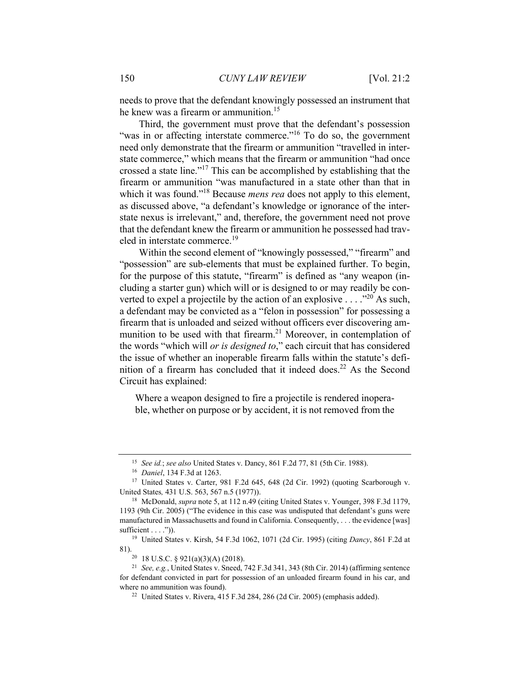needs to prove that the defendant knowingly possessed an instrument that he knew was a firearm or ammunition.<sup>15</sup>

Third, the government must prove that the defendant's possession "was in or affecting interstate commerce."<sup>16</sup> To do so, the government need only demonstrate that the firearm or ammunition "travelled in interstate commerce," which means that the firearm or ammunition "had once crossed a state line."17 This can be accomplished by establishing that the firearm or ammunition "was manufactured in a state other than that in which it was found."<sup>18</sup> Because *mens rea* does not apply to this element, as discussed above, "a defendant's knowledge or ignorance of the interstate nexus is irrelevant," and, therefore, the government need not prove that the defendant knew the firearm or ammunition he possessed had traveled in interstate commerce.<sup>19</sup>

Within the second element of "knowingly possessed," "firearm" and "possession" are sub-elements that must be explained further. To begin, for the purpose of this statute, "firearm" is defined as "any weapon (including a starter gun) which will or is designed to or may readily be converted to expel a projectile by the action of an explosive  $\dots$  ."<sup>20</sup> As such, a defendant may be convicted as a "felon in possession" for possessing a firearm that is unloaded and seized without officers ever discovering ammunition to be used with that firearm.<sup>21</sup> Moreover, in contemplation of the words "which will *or is designed to*," each circuit that has considered the issue of whether an inoperable firearm falls within the statute's definition of a firearm has concluded that it indeed does.<sup>22</sup> As the Second Circuit has explained:

Where a weapon designed to fire a projectile is rendered inoperable, whether on purpose or by accident, it is not removed from the

<sup>&</sup>lt;sup>15</sup> See id.; see also United States v. Dancy, 861 F.2d 77, 81 (5th Cir. 1988).<br><sup>16</sup> Daniel, 134 F.3d at 1263.<br><sup>17</sup> United States v. Carter, 981 F.2d 645, 648 (2d Cir. 1992) (quoting Scarborough v. United States, 431 U.S. 563, 567 n.5 (1977)).<br><sup>18</sup> McDonald, *supra* note 5, at 112 n.49 (citing United States v. Younger, 398 F.3d 1179,

<sup>1193 (9</sup>th Cir. 2005) ("The evidence in this case was undisputed that defendant's guns were manufactured in Massachusetts and found in California. Consequently, . . . the evidence [was] sufficient . . . .")). 19 United States v. Kirsh, 54 F.3d 1062, 1071 (2d Cir. 1995) (citing *Dancy*, 861 F.2d at

<sup>81). 20 18</sup> U.S.C. § 921(a)(3)(A) (2018).

<sup>21</sup> *See, e.g.*, United States v. Sneed, 742 F.3d 341, 343 (8th Cir. 2014) (affirming sentence for defendant convicted in part for possession of an unloaded firearm found in his car, and where no ammunition was found).<br><sup>22</sup> United States v. Rivera, 415 F.3d 284, 286 (2d Cir. 2005) (emphasis added).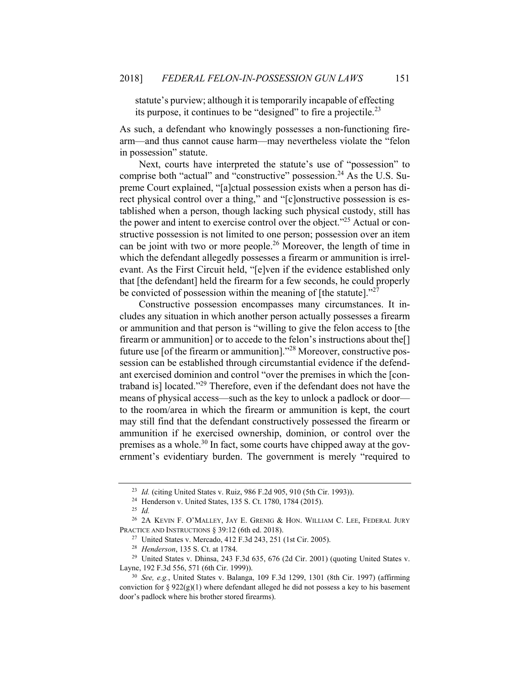statute's purview; although it is temporarily incapable of effecting its purpose, it continues to be "designed" to fire a projectile.<sup>23</sup>

As such, a defendant who knowingly possesses a non-functioning firearm—and thus cannot cause harm—may nevertheless violate the "felon in possession" statute.

Next, courts have interpreted the statute's use of "possession" to comprise both "actual" and "constructive" possession.<sup>24</sup> As the U.S. Supreme Court explained, "[a]ctual possession exists when a person has direct physical control over a thing," and "[c]onstructive possession is established when a person, though lacking such physical custody, still has the power and intent to exercise control over the object."<sup>25</sup> Actual or constructive possession is not limited to one person; possession over an item can be joint with two or more people.<sup>26</sup> Moreover, the length of time in which the defendant allegedly possesses a firearm or ammunition is irrelevant. As the First Circuit held, "[e]ven if the evidence established only that [the defendant] held the firearm for a few seconds, he could properly be convicted of possession within the meaning of [the statute]. $27$ 

Constructive possession encompasses many circumstances. It includes any situation in which another person actually possesses a firearm or ammunition and that person is "willing to give the felon access to [the firearm or ammunition] or to accede to the felon's instructions about the<sup>[]</sup> future use [of the firearm or ammunition]."28 Moreover, constructive possession can be established through circumstantial evidence if the defendant exercised dominion and control "over the premises in which the [contraband is] located."29 Therefore, even if the defendant does not have the means of physical access—such as the key to unlock a padlock or door to the room/area in which the firearm or ammunition is kept, the court may still find that the defendant constructively possessed the firearm or ammunition if he exercised ownership, dominion, or control over the premises as a whole.<sup>30</sup> In fact, some courts have chipped away at the government's evidentiary burden. The government is merely "required to

<sup>&</sup>lt;sup>23</sup> *Id.* (citing United States v. Ruiz, 986 F.2d 905, 910 (5th Cir. 1993)).<br><sup>24</sup> Henderson v. United States, 135 S. Ct. 1780, 1784 (2015).<br><sup>25</sup> *Id.* 

<sup>&</sup>lt;sup>26</sup> 2A KEVIN F. O'MALLEY, JAY E. GRENIG & HON. WILLIAM C. LEE, FEDERAL JURY PRACTICE AND INSTRUCTIONS § 39:12 (6th ed. 2018).<br><sup>27</sup> United States v. Mercado, 412 F.3d 243, 251 (1st Cir. 2005).<br><sup>28</sup> *Henderson*, 135 S. Ct. at 1784.<br><sup>29</sup> United States v. Dhinsa, 243 F.3d 635, 676 (2d Cir. 2001) (quo

Layne, 192 F.3d 556, 571 (6th Cir. 1999)). 30 *See, e.g.*, United States v. Balanga, 109 F.3d 1299, 1301 (8th Cir. 1997) (affirming

conviction for §  $922(g)(1)$  where defendant alleged he did not possess a key to his basement door's padlock where his brother stored firearms).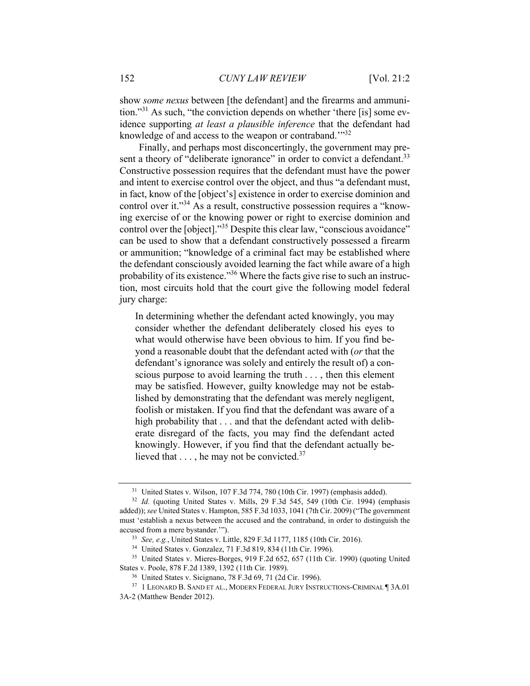show *some nexus* between [the defendant] and the firearms and ammunition."31 As such, "the conviction depends on whether 'there [is] some evidence supporting *at least a plausible inference* that the defendant had knowledge of and access to the weapon or contraband."<sup>32</sup>

Finally, and perhaps most disconcertingly, the government may present a theory of "deliberate ignorance" in order to convict a defendant.<sup>33</sup> Constructive possession requires that the defendant must have the power and intent to exercise control over the object, and thus "a defendant must, in fact, know of the [object's] existence in order to exercise dominion and control over it."<sup>34</sup> As a result, constructive possession requires a "knowing exercise of or the knowing power or right to exercise dominion and control over the [object]."35 Despite this clear law, "conscious avoidance" can be used to show that a defendant constructively possessed a firearm or ammunition; "knowledge of a criminal fact may be established where the defendant consciously avoided learning the fact while aware of a high probability of its existence."<sup>36</sup> Where the facts give rise to such an instruction, most circuits hold that the court give the following model federal jury charge:

In determining whether the defendant acted knowingly, you may consider whether the defendant deliberately closed his eyes to what would otherwise have been obvious to him. If you find beyond a reasonable doubt that the defendant acted with (*or* that the defendant's ignorance was solely and entirely the result of) a conscious purpose to avoid learning the truth . . . , then this element may be satisfied. However, guilty knowledge may not be established by demonstrating that the defendant was merely negligent, foolish or mistaken. If you find that the defendant was aware of a high probability that . . . and that the defendant acted with deliberate disregard of the facts, you may find the defendant acted knowingly. However, if you find that the defendant actually believed that  $\dots$ , he may not be convicted.<sup>37</sup>

<sup>31</sup> United States v. Wilson, 107 F.3d 774, 780 (10th Cir. 1997) (emphasis added). 32 *Id.* (quoting United States v. Mills, 29 F.3d 545, 549 (10th Cir. 1994) (emphasis

added)); *see* United States v. Hampton, 585 F.3d 1033, 1041 (7th Cir. 2009) ("The government must 'establish a nexus between the accused and the contraband, in order to distinguish the accused from a mere bystander."").<br>  $33 \text{ See, } e.g., \text{ United States v. Little, } 829 \text{ F.3d } 1177, 1185 \text{ (10th Cir. } 2016).$ <br>  $34 \text{ United States v. Gonzalez, } 71 \text{ F.3d } 819, 834 \text{ (11th Cir. } 1996).$ <br>  $35 \text{ United States v. Mieres-Borges, } 919 \text{ F.2d } 652, 657 \text{ (11th Cir. } 1990) \text{ (quoting United States v. } 19$ 

States v. Poole, 878 F.2d 1389, 1392 (11th Cir. 1989).<br><sup>36</sup> United States v. Sicignano, 78 F.3d 69, 71 (2d Cir. 1996).<br><sup>37</sup> 1 LEONARD B. SAND ET AL., MODERN FEDERAL JURY INSTRUCTIONS-CRIMINAL ¶ 3A.01

<sup>3</sup>A-2 (Matthew Bender 2012).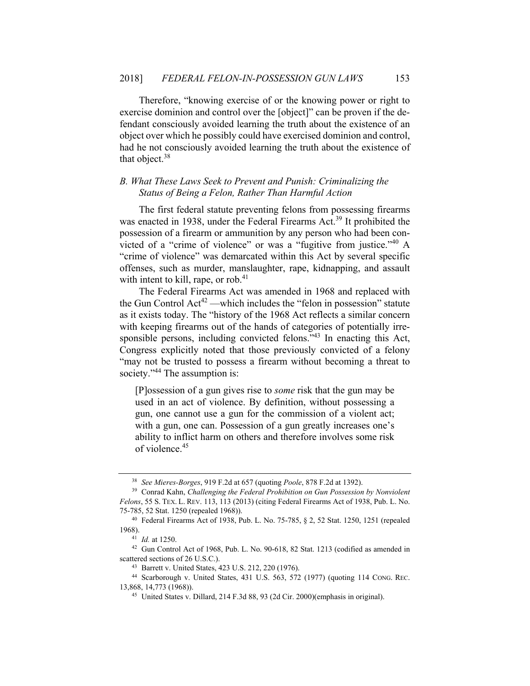Therefore, "knowing exercise of or the knowing power or right to exercise dominion and control over the [object]" can be proven if the defendant consciously avoided learning the truth about the existence of an object over which he possibly could have exercised dominion and control, had he not consciously avoided learning the truth about the existence of that object. $38$ 

## *B. What These Laws Seek to Prevent and Punish: Criminalizing the Status of Being a Felon, Rather Than Harmful Action*

The first federal statute preventing felons from possessing firearms was enacted in 1938, under the Federal Firearms Act.<sup>39</sup> It prohibited the possession of a firearm or ammunition by any person who had been convicted of a "crime of violence" or was a "fugitive from justice."40 A "crime of violence" was demarcated within this Act by several specific offenses, such as murder, manslaughter, rape, kidnapping, and assault with intent to kill, rape, or rob. $41$ 

The Federal Firearms Act was amended in 1968 and replaced with the Gun Control  $Act^{42}$  —which includes the "felon in possession" statute as it exists today. The "history of the 1968 Act reflects a similar concern with keeping firearms out of the hands of categories of potentially irresponsible persons, including convicted felons."43 In enacting this Act, Congress explicitly noted that those previously convicted of a felony "may not be trusted to possess a firearm without becoming a threat to society."<sup>44</sup> The assumption is:

[P]ossession of a gun gives rise to *some* risk that the gun may be used in an act of violence. By definition, without possessing a gun, one cannot use a gun for the commission of a violent act; with a gun, one can. Possession of a gun greatly increases one's ability to inflict harm on others and therefore involves some risk of violence.45

<sup>38</sup> *See Mieres-Borges*, 919 F.2d at 657 (quoting *Poole*, 878 F.2d at 1392). 39 Conrad Kahn, *Challenging the Federal Prohibition on Gun Possession by Nonviolent* 

*Felons*, 55 S. TEX. L. REV. 113, 113 (2013) (citing Federal Firearms Act of 1938, Pub. L. No. 75-785, 52 Stat. 1250 (repealed 1968)). 40 Federal Firearms Act of 1938, Pub. L. No. 75-785, § 2, 52 Stat. 1250, 1251 (repealed

<sup>1968).&</sup>lt;br><sup>41</sup> *Id.* at 1250.<br><sup>42</sup> Gun Control Act of 1968, Pub. L. No. 90-618, 82 Stat. 1213 (codified as amended in

scattered sections of 26 U.S.C.). 43 Barrett v. United States, 423 U.S. 212, 220 (1976). 44 Scarborough v. United States, 431 U.S. 563, 572 (1977) (quoting 114 CONG. REC.

<sup>13,868, 14,773 (1968)). 45</sup> United States v. Dillard, 214 F.3d 88, 93 (2d Cir. 2000)(emphasis in original).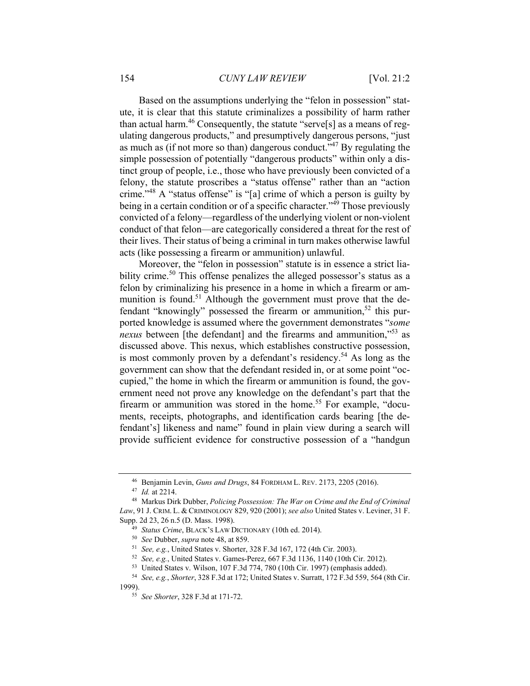Based on the assumptions underlying the "felon in possession" statute, it is clear that this statute criminalizes a possibility of harm rather than actual harm.<sup>46</sup> Consequently, the statute "serve[s] as a means of regulating dangerous products," and presumptively dangerous persons, "just as much as (if not more so than) dangerous conduct."47 By regulating the simple possession of potentially "dangerous products" within only a distinct group of people, i.e., those who have previously been convicted of a felony, the statute proscribes a "status offense" rather than an "action crime."48 A "status offense" is "[a] crime of which a person is guilty by being in a certain condition or of a specific character." $\frac{4}{9}$  Those previously convicted of a felony—regardless of the underlying violent or non-violent conduct of that felon—are categorically considered a threat for the rest of their lives. Their status of being a criminal in turn makes otherwise lawful acts (like possessing a firearm or ammunition) unlawful.

Moreover, the "felon in possession" statute is in essence a strict liability crime.<sup>50</sup> This offense penalizes the alleged possessor's status as a felon by criminalizing his presence in a home in which a firearm or ammunition is found.<sup>51</sup> Although the government must prove that the defendant "knowingly" possessed the firearm or ammunition,<sup>52</sup> this purported knowledge is assumed where the government demonstrates "*some nexus* between [the defendant] and the firearms and ammunition,"<sup>53</sup> as discussed above. This nexus, which establishes constructive possession, is most commonly proven by a defendant's residency.<sup>54</sup> As long as the government can show that the defendant resided in, or at some point "occupied," the home in which the firearm or ammunition is found, the government need not prove any knowledge on the defendant's part that the firearm or ammunition was stored in the home.<sup>55</sup> For example, "documents, receipts, photographs, and identification cards bearing [the defendant's] likeness and name" found in plain view during a search will provide sufficient evidence for constructive possession of a "handgun

<sup>46</sup> Benjamin Levin, *Guns and Drugs*, 84 FORDHAM L. REV. 2173, 2205 (2016).

<sup>&</sup>lt;sup>47</sup> *Id.* at 2214.<br><sup>48</sup> Markus Dirk Dubber, *Policing Possession: The War on Crime and the End of Criminal Law*, 91 J. CRIM. L. & CRIMINOLOGY 829, 920 (2001); *see also* United States v. Leviner, 31 F. Supp. 2d 23, 26 n.5 (D. Mass. 1998).<br><sup>49</sup> Status Crime, BLACK's LAW DICTIONARY (10th ed. 2014).<br><sup>50</sup> See Dubber, *supra* note 48, at 859.<br><sup>51</sup> See, e.g., United States v. Shorter, 328 F.3d 167, 172 (4th Cir. 2003).

<sup>&</sup>lt;sup>52</sup> *See, e.g.*, United States v. Games-Perez, 667 F.3d 1136, 1140 (10th Cir. 2012).<br><sup>53</sup> United States v. Wilson, 107 F.3d 774, 780 (10th Cir. 1997) (emphasis added).<br><sup>54</sup> *See, e.g., Shorter*, 328 F.3d at 172; United S

<sup>1999). 55</sup> *See Shorter*, 328 F.3d at 171-72.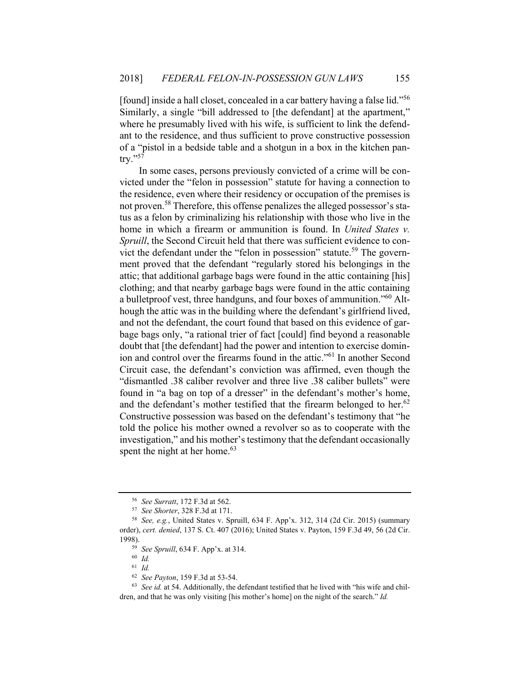[found] inside a hall closet, concealed in a car battery having a false lid."56 Similarly, a single "bill addressed to [the defendant] at the apartment," where he presumably lived with his wife, is sufficient to link the defendant to the residence, and thus sufficient to prove constructive possession of a "pistol in a bedside table and a shotgun in a box in the kitchen pan- $\text{trv.}$ "57

In some cases, persons previously convicted of a crime will be convicted under the "felon in possession" statute for having a connection to the residence, even where their residency or occupation of the premises is not proven.58 Therefore, this offense penalizes the alleged possessor's status as a felon by criminalizing his relationship with those who live in the home in which a firearm or ammunition is found. In *United States v. Spruill*, the Second Circuit held that there was sufficient evidence to convict the defendant under the "felon in possession" statute.<sup>59</sup> The government proved that the defendant "regularly stored his belongings in the attic; that additional garbage bags were found in the attic containing [his] clothing; and that nearby garbage bags were found in the attic containing a bulletproof vest, three handguns, and four boxes of ammunition."60 Although the attic was in the building where the defendant's girlfriend lived, and not the defendant, the court found that based on this evidence of garbage bags only, "a rational trier of fact [could] find beyond a reasonable doubt that [the defendant] had the power and intention to exercise dominion and control over the firearms found in the attic."61 In another Second Circuit case, the defendant's conviction was affirmed, even though the "dismantled .38 caliber revolver and three live .38 caliber bullets" were found in "a bag on top of a dresser" in the defendant's mother's home, and the defendant's mother testified that the firearm belonged to her. $62$ Constructive possession was based on the defendant's testimony that "he told the police his mother owned a revolver so as to cooperate with the investigation," and his mother's testimony that the defendant occasionally spent the night at her home.<sup>63</sup>

<sup>56</sup> *See Surratt*, 172 F.3d at 562. 57 *See Shorter*, 328 F.3d at 171. 58 *See, e.g.*, United States v. Spruill, 634 F. App'x. 312, 314 (2d Cir. 2015) (summary order), *cert. denied*, 137 S. Ct. 407 (2016); United States v. Payton, 159 F.3d 49, 56 (2d Cir. 1998). 59 *See Spruill*, 634 F. App'x. at 314. 60 *Id.* 

<sup>61</sup> *Id.*

<sup>62</sup> *See Payton*, 159 F.3d at 53-54. 63 *See id.* at 54. Additionally, the defendant testified that he lived with "his wife and children, and that he was only visiting [his mother's home] on the night of the search." *Id.*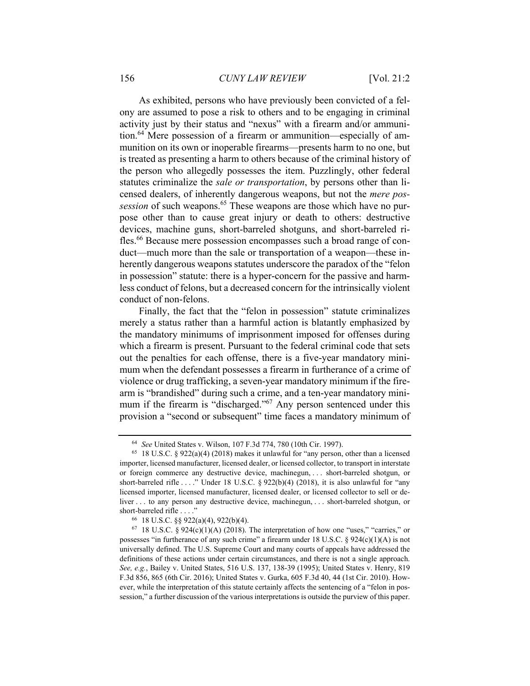As exhibited, persons who have previously been convicted of a felony are assumed to pose a risk to others and to be engaging in criminal activity just by their status and "nexus" with a firearm and/or ammunition.64 Mere possession of a firearm or ammunition—especially of ammunition on its own or inoperable firearms—presents harm to no one, but is treated as presenting a harm to others because of the criminal history of the person who allegedly possesses the item. Puzzlingly, other federal statutes criminalize the *sale or transportation*, by persons other than licensed dealers, of inherently dangerous weapons, but not the *mere possession* of such weapons.<sup>65</sup> These weapons are those which have no purpose other than to cause great injury or death to others: destructive devices, machine guns, short-barreled shotguns, and short-barreled rifles.<sup>66</sup> Because mere possession encompasses such a broad range of conduct—much more than the sale or transportation of a weapon—these inherently dangerous weapons statutes underscore the paradox of the "felon in possession" statute: there is a hyper-concern for the passive and harmless conduct of felons, but a decreased concern for the intrinsically violent conduct of non-felons.

Finally, the fact that the "felon in possession" statute criminalizes merely a status rather than a harmful action is blatantly emphasized by the mandatory minimums of imprisonment imposed for offenses during which a firearm is present. Pursuant to the federal criminal code that sets out the penalties for each offense, there is a five-year mandatory minimum when the defendant possesses a firearm in furtherance of a crime of violence or drug trafficking, a seven-year mandatory minimum if the firearm is "brandished" during such a crime, and a ten-year mandatory minimum if the firearm is "discharged."<sup>67</sup> Any person sentenced under this provision a "second or subsequent" time faces a mandatory minimum of

<sup>64</sup> *See* United States v. Wilson, 107 F.3d 774, 780 (10th Cir. 1997).

<sup>&</sup>lt;sup>65</sup> 18 U.S.C. § 922(a)(4) (2018) makes it unlawful for "any person, other than a licensed importer, licensed manufacturer, licensed dealer, or licensed collector, to transport in interstate or foreign commerce any destructive device, machinegun, . . . short-barreled shotgun, or short-barreled rifle . . . ." Under 18 U.S.C. § 922(b)(4) (2018), it is also unlawful for "any licensed importer, licensed manufacturer, licensed dealer, or licensed collector to sell or deliver . . . to any person any destructive device, machinegun, . . . short-barreled shotgun, or short-barreled rifle . . . ."<br><sup>66</sup> 18 U.S.C. §§ 922(a)(4), 922(b)(4).<br><sup>67</sup> 18 U.S.C. § 924(c)(1)(A) (2018). The interpretation of how one "uses," "carries," or

possesses "in furtherance of any such crime" a firearm under 18 U.S.C. §  $924(c)(1)(A)$  is not universally defined. The U.S. Supreme Court and many courts of appeals have addressed the definitions of these actions under certain circumstances, and there is not a single approach. *See, e.g.*, Bailey v. United States, 516 U.S. 137, 138-39 (1995); United States v. Henry, 819 F.3d 856, 865 (6th Cir. 2016); United States v. Gurka, 605 F.3d 40, 44 (1st Cir. 2010). However, while the interpretation of this statute certainly affects the sentencing of a "felon in possession," a further discussion of the various interpretations is outside the purview of this paper.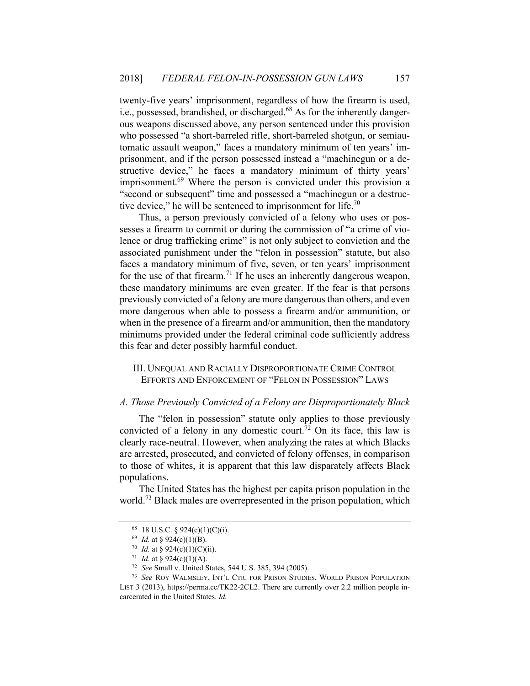twenty-five years' imprisonment, regardless of how the firearm is used, i.e., possessed, brandished, or discharged.<sup>68</sup> As for the inherently dangerous weapons discussed above, any person sentenced under this provision who possessed "a short-barreled rifle, short-barreled shotgun, or semiautomatic assault weapon," faces a mandatory minimum of ten years' imprisonment, and if the person possessed instead a "machinegun or a destructive device," he faces a mandatory minimum of thirty years' imprisonment.69 Where the person is convicted under this provision a "second or subsequent" time and possessed a "machinegun or a destructive device," he will be sentenced to imprisonment for life. $70$ 

Thus, a person previously convicted of a felony who uses or possesses a firearm to commit or during the commission of "a crime of violence or drug trafficking crime" is not only subject to conviction and the associated punishment under the "felon in possession" statute, but also faces a mandatory minimum of five, seven, or ten years' imprisonment for the use of that firearm.<sup>71</sup> If he uses an inherently dangerous weapon, these mandatory minimums are even greater. If the fear is that persons previously convicted of a felony are more dangerous than others, and even more dangerous when able to possess a firearm and/or ammunition, or when in the presence of a firearm and/or ammunition, then the mandatory minimums provided under the federal criminal code sufficiently address this fear and deter possibly harmful conduct.

III. UNEQUAL AND RACIALLY DISPROPORTIONATE CRIME CONTROL EFFORTS AND ENFORCEMENT OF "FELON IN POSSESSION" LAWS

#### *A. Those Previously Convicted of a Felony are Disproportionately Black*

The "felon in possession" statute only applies to those previously convicted of a felony in any domestic court.<sup>72</sup> On its face, this law is clearly race-neutral. However, when analyzing the rates at which Blacks are arrested, prosecuted, and convicted of felony offenses, in comparison to those of whites, it is apparent that this law disparately affects Black populations.

The United States has the highest per capita prison population in the world.<sup>73</sup> Black males are overrepresented in the prison population, which

<sup>68 18</sup> U.S.C. § 924(c)(1)(C)(i).

<sup>&</sup>lt;sup>69</sup> *Id.* at § 924(c)(1)(B).<br><sup>70</sup> *Id.* at § 924(c)(1)(C)(ii).<br><sup>71</sup> *Id.* at § 924(c)(1)(A).<br><sup>72</sup> *See* Small v. United States, 544 U.S. 385, 394 (2005).<br><sup>73</sup> *See* Roy WALMSLEY, INT'L CTR. FOR PRISON STUDIES, WORLD PRIS LIST 3 (2013), https://perma.cc/TK22-2CL2. There are currently over 2.2 million people incarcerated in the United States. *Id.*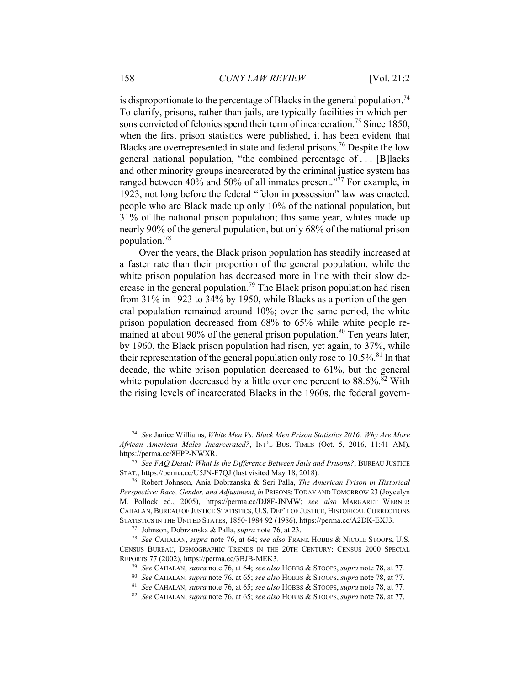is disproportionate to the percentage of Blacks in the general population.<sup>74</sup> To clarify, prisons, rather than jails, are typically facilities in which persons convicted of felonies spend their term of incarceration.<sup>75</sup> Since 1850, when the first prison statistics were published, it has been evident that Blacks are overrepresented in state and federal prisons.<sup>76</sup> Despite the low general national population, "the combined percentage of . . . [B]lacks and other minority groups incarcerated by the criminal justice system has ranged between 40% and 50% of all inmates present."<sup>77</sup> For example, in 1923, not long before the federal "felon in possession" law was enacted, people who are Black made up only 10% of the national population, but 31% of the national prison population; this same year, whites made up nearly 90% of the general population, but only 68% of the national prison population.78

Over the years, the Black prison population has steadily increased at a faster rate than their proportion of the general population, while the white prison population has decreased more in line with their slow decrease in the general population.<sup>79</sup> The Black prison population had risen from 31% in 1923 to 34% by 1950, while Blacks as a portion of the general population remained around 10%; over the same period, the white prison population decreased from 68% to 65% while white people remained at about 90% of the general prison population.<sup>80</sup> Ten years later, by 1960, the Black prison population had risen, yet again, to 37%, while their representation of the general population only rose to  $10.5\%$ <sup>81</sup>. In that decade, the white prison population decreased to 61%, but the general white population decreased by a little over one percent to  $88.6\%$ .<sup>82</sup> With the rising levels of incarcerated Blacks in the 1960s, the federal govern-

<sup>74</sup> *See* Janice Williams, *White Men Vs. Black Men Prison Statistics 2016: Why Are More African American Males Incarcerated?*, INT'L BUS. TIMES (Oct. 5, 2016, 11:41 AM), https://perma.cc/8EPP-NWXR.

<sup>75</sup> *See FAQ Detail: What Is the Difference Between Jails and Prisons?*, BUREAU JUSTICE STAT., https://perma.cc/U5JN-F7QJ (last visited May 18, 2018). 76 Robert Johnson, Ania Dobrzanska & Seri Palla, *The American Prison in Historical* 

*Perspective: Race, Gender, and Adjustment*, *in* PRISONS:TODAY AND TOMORROW 23 (Joycelyn M. Pollock ed., 2005), https://perma.cc/DJ8F-JNMW; *see also* MARGARET WERNER CAHALAN, BUREAU OF JUSTICE STATISTICS, U.S. DEP'T OF JUSTICE, HISTORICAL CORRECTIONS STATISTICS IN THE UNITED STATES, 1850-1984 92 (1986), https://perma.cc/A2DK-EXJ3.<br><sup>77</sup> Johnson, Dobrzanska & Palla, *supra* note 76, at 23.<br><sup>78</sup> See CAHALAN, *supra* note 76, at 64; *see also* FRANK HOBBS & NICOLE STOOPS,

CENSUS BUREAU, DEMOGRAPHIC TRENDS IN THE 20TH CENTURY: CENSUS 2000 SPECIAL REPORTS 77 (2002), https://perma.cc/3BJB-MEK3. 79 *See* CAHALAN, *supra* note 76, at 64; *see also* HOBBS & STOOPS, *supra* note 78, at 77*.* 

<sup>&</sup>lt;sup>80</sup> See CAHALAN, supra note 76, at 65; see also HOBBS & STOOPS, supra note 78, at 77.<br><sup>81</sup> See CAHALAN, supra note 76, at 65; see also HOBBS & STOOPS, supra note 78, at 77.

<sup>82</sup> *See* CAHALAN, *supra* note 76, at 65; *see also* HOBBS & STOOPS, *supra* note 78, at 77.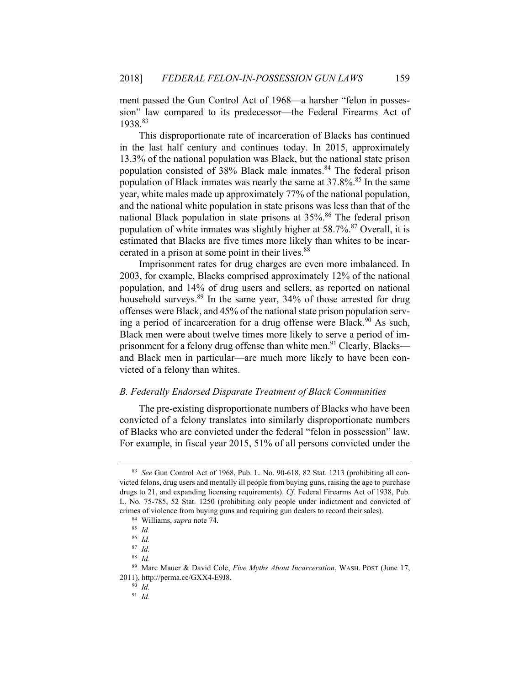ment passed the Gun Control Act of 1968—a harsher "felon in possession" law compared to its predecessor—the Federal Firearms Act of 1938.83

This disproportionate rate of incarceration of Blacks has continued in the last half century and continues today. In 2015, approximately 13.3% of the national population was Black, but the national state prison population consisted of 38% Black male inmates.<sup>84</sup> The federal prison population of Black inmates was nearly the same at  $37.8\%$ .<sup>85</sup> In the same year, white males made up approximately 77% of the national population, and the national white population in state prisons was less than that of the national Black population in state prisons at  $35\%$ .<sup>86</sup> The federal prison population of white inmates was slightly higher at  $58.7\%$ .<sup>87</sup> Overall, it is estimated that Blacks are five times more likely than whites to be incarcerated in a prison at some point in their lives.<sup>88</sup>

Imprisonment rates for drug charges are even more imbalanced. In 2003, for example, Blacks comprised approximately 12% of the national population, and 14% of drug users and sellers, as reported on national household surveys.<sup>89</sup> In the same year, 34% of those arrested for drug offenses were Black, and 45% of the national state prison population serving a period of incarceration for a drug offense were Black.<sup>90</sup> As such, Black men were about twelve times more likely to serve a period of imprisonment for a felony drug offense than white men.<sup>91</sup> Clearly, Blacks and Black men in particular—are much more likely to have been convicted of a felony than whites.

## *B. Federally Endorsed Disparate Treatment of Black Communities*

The pre-existing disproportionate numbers of Blacks who have been convicted of a felony translates into similarly disproportionate numbers of Blacks who are convicted under the federal "felon in possession" law. For example, in fiscal year 2015, 51% of all persons convicted under the

<sup>83</sup> *See* Gun Control Act of 1968, Pub. L. No. 90-618, 82 Stat. 1213 (prohibiting all convicted felons, drug users and mentally ill people from buying guns, raising the age to purchase drugs to 21, and expanding licensing requirements). *Cf.* Federal Firearms Act of 1938, Pub. L. No. 75-785, 52 Stat. 1250 (prohibiting only people under indictment and convicted of crimes of violence from buying guns and requiring gun dealers to record their sales). 84 Williams, *supra* note 74. 85 *Id.* 

<sup>86</sup> *Id.* 

<sup>87</sup> *Id.* 

<sup>88</sup> *Id.* 

<sup>89</sup> Marc Mauer & David Cole, *Five Myths About Incarceration*, WASH. POST (June 17, 2011), http://perma.cc/GXX4-E9J8. 90 *Id.*

<sup>91</sup> *Id.*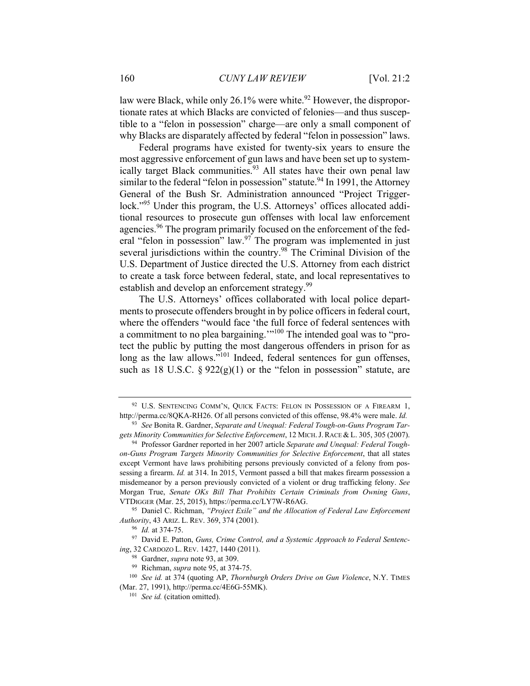law were Black, while only  $26.1\%$  were white.<sup>92</sup> However, the disproportionate rates at which Blacks are convicted of felonies—and thus susceptible to a "felon in possession" charge—are only a small component of why Blacks are disparately affected by federal "felon in possession" laws.

Federal programs have existed for twenty-six years to ensure the most aggressive enforcement of gun laws and have been set up to systemically target Black communities.<sup>93</sup> All states have their own penal law similar to the federal "felon in possession" statute.<sup>94</sup> In 1991, the Attorney General of the Bush Sr. Administration announced "Project Triggerlock."<sup>95</sup> Under this program, the U.S. Attorneys' offices allocated additional resources to prosecute gun offenses with local law enforcement agencies.<sup>96</sup> The program primarily focused on the enforcement of the federal "felon in possession" law.<sup>97</sup> The program was implemented in just several jurisdictions within the country.<sup>98</sup> The Criminal Division of the U.S. Department of Justice directed the U.S. Attorney from each district to create a task force between federal, state, and local representatives to establish and develop an enforcement strategy.<sup>99</sup>

The U.S. Attorneys' offices collaborated with local police departments to prosecute offenders brought in by police officers in federal court, where the offenders "would face 'the full force of federal sentences with a commitment to no plea bargaining.'"100 The intended goal was to "protect the public by putting the most dangerous offenders in prison for as long as the law allows."<sup>101</sup> Indeed, federal sentences for gun offenses, such as 18 U.S.C.  $\S 922(g)(1)$  or the "felon in possession" statute, are

<sup>&</sup>lt;sup>92</sup> U.S. SENTENCING COMM'N, QUICK FACTS: FELON IN POSSESSION OF A FIREARM 1, http://perma.cc/8QKA-RH26. Of all persons convicted of this offense, 98.4% were male. *Id.*

<sup>93</sup> *See* Bonita R. Gardner, *Separate and Unequal: Federal Tough-on-Guns Program Targets Minority Communities for Selective Enforcement*, 12 MICH.J.RACE & L. 305, 305 (2007). 94 Professor Gardner reported in her 2007 article *Separate and Unequal: Federal Tough-*

*on-Guns Program Targets Minority Communities for Selective Enforcement*, that all states except Vermont have laws prohibiting persons previously convicted of a felony from possessing a firearm. *Id.* at 314. In 2015, Vermont passed a bill that makes firearm possession a misdemeanor by a person previously convicted of a violent or drug trafficking felony. *See* Morgan True, *Senate OKs Bill That Prohibits Certain Criminals from Owning Guns*, VTDIGGER (Mar. 25, 2015), https://perma.cc/LY7W-R6AG. 95 Daniel C. Richman, *"Project Exile" and the Allocation of Federal Law Enforcement* 

*Authority*, 43 ARIZ. L. REV. 369, 374 (2001).<br><sup>96</sup> *Id.* at 374-75.<br><sup>97</sup> David E. Patton, *Guns, Crime Control, and a Systemic Approach to Federal Sentenc-*

ing, 32 CARDOZO L. REV. 1427, 1440 (2011).<br><sup>98</sup> Gardner, *supra* note 93, at 309.<br><sup>99</sup> Richman, *supra* note 95, at 374-75.<br><sup>100</sup> *See id.* at 374 (quoting AP, *Thornburgh Orders Drive on Gun Violence*, N.Y. TIMES

<sup>(</sup>Mar. 27, 1991), http://perma.cc/4E6G-55MK). 101 *See id.* (citation omitted).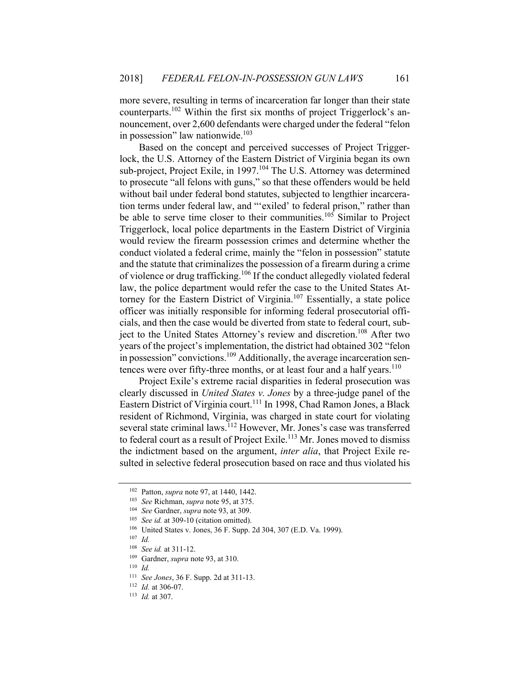more severe, resulting in terms of incarceration far longer than their state counterparts.<sup>102</sup> Within the first six months of project Triggerlock's announcement, over 2,600 defendants were charged under the federal "felon in possession" law nationwide. $103$ 

Based on the concept and perceived successes of Project Triggerlock, the U.S. Attorney of the Eastern District of Virginia began its own sub-project, Project Exile, in 1997.<sup>104</sup> The U.S. Attorney was determined to prosecute "all felons with guns," so that these offenders would be held without bail under federal bond statutes, subjected to lengthier incarceration terms under federal law, and "'exiled' to federal prison," rather than be able to serve time closer to their communities.<sup>105</sup> Similar to Project Triggerlock, local police departments in the Eastern District of Virginia would review the firearm possession crimes and determine whether the conduct violated a federal crime, mainly the "felon in possession" statute and the statute that criminalizes the possession of a firearm during a crime of violence or drug trafficking.106 If the conduct allegedly violated federal law, the police department would refer the case to the United States Attorney for the Eastern District of Virginia.<sup>107</sup> Essentially, a state police officer was initially responsible for informing federal prosecutorial officials, and then the case would be diverted from state to federal court, subject to the United States Attorney's review and discretion.<sup>108</sup> After two years of the project's implementation, the district had obtained 302 "felon in possession" convictions.<sup>109</sup> Additionally, the average incarceration sentences were over fifty-three months, or at least four and a half years. $110$ 

Project Exile's extreme racial disparities in federal prosecution was clearly discussed in *United States v. Jones* by a three-judge panel of the Eastern District of Virginia court.<sup>111</sup> In 1998, Chad Ramon Jones, a Black resident of Richmond, Virginia, was charged in state court for violating several state criminal laws.<sup>112</sup> However, Mr. Jones's case was transferred to federal court as a result of Project Exile.<sup>113</sup> Mr. Jones moved to dismiss the indictment based on the argument, *inter alia*, that Project Exile resulted in selective federal prosecution based on race and thus violated his

<sup>102</sup> Patton, *supra* note 97, at 1440, 1442.

<sup>&</sup>lt;sup>103</sup> See Richman, *supra* note 95, at 375.<br><sup>104</sup> See Gardner, *supra* note 93, at 309.<br><sup>105</sup> See *id.* at 309-10 (citation omitted).<br><sup>106</sup> United States v. Jones, 36 F. Supp. 2d 304, 307 (E.D. Va. 1999).<br><sup>107</sup> Id.

<sup>108</sup> *See id.* at 311-12. 109 Gardner, *supra* note 93, at 310.

<sup>110</sup> *Id.*

<sup>111</sup> *See Jones*, 36 F. Supp. 2d at 311-13. 112 *Id.* at 306-07. 113 *Id.* at 307.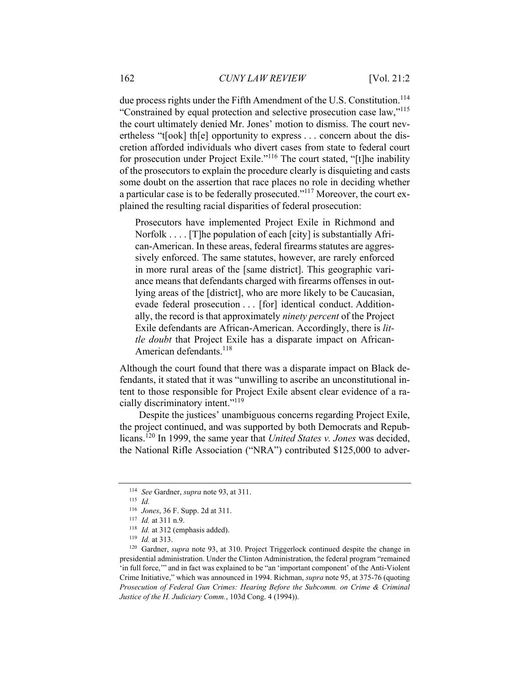due process rights under the Fifth Amendment of the U.S. Constitution.<sup>114</sup> "Constrained by equal protection and selective prosecution case law,"115 the court ultimately denied Mr. Jones' motion to dismiss. The court nevertheless "t[ook] th[e] opportunity to express . . . concern about the discretion afforded individuals who divert cases from state to federal court for prosecution under Project Exile."116 The court stated, "[t]he inability of the prosecutors to explain the procedure clearly is disquieting and casts some doubt on the assertion that race places no role in deciding whether a particular case is to be federally prosecuted."117 Moreover, the court explained the resulting racial disparities of federal prosecution:

Prosecutors have implemented Project Exile in Richmond and Norfolk . . . . [T]he population of each [city] is substantially African-American. In these areas, federal firearms statutes are aggressively enforced. The same statutes, however, are rarely enforced in more rural areas of the [same district]. This geographic variance means that defendants charged with firearms offenses in outlying areas of the [district], who are more likely to be Caucasian, evade federal prosecution . . . [for] identical conduct. Additionally, the record is that approximately *ninety percent* of the Project Exile defendants are African-American. Accordingly, there is *little doubt* that Project Exile has a disparate impact on African-American defendants.<sup>118</sup>

Although the court found that there was a disparate impact on Black defendants, it stated that it was "unwilling to ascribe an unconstitutional intent to those responsible for Project Exile absent clear evidence of a racially discriminatory intent."119

Despite the justices' unambiguous concerns regarding Project Exile, the project continued, and was supported by both Democrats and Republicans.120 In 1999, the same year that *United States v. Jones* was decided, the National Rifle Association ("NRA") contributed \$125,000 to adver-

<sup>114</sup> *See* Gardner, *supra* note 93, at 311. 115 *Id.*

<sup>&</sup>lt;sup>116</sup> *Jones*, 36 F. Supp. 2d at 311.<br><sup>117</sup> *Id.* at 311 n.9.<br><sup>118</sup> *Id.* at 312 (emphasis added).<br><sup>119</sup> *Id.* at 313.<br><sup>120</sup> Gardner, *supra* note 93, at 310. Project Triggerlock continued despite the change in presidential administration. Under the Clinton Administration, the federal program "remained 'in full force,'" and in fact was explained to be "an 'important component' of the Anti-Violent Crime Initiative," which was announced in 1994. Richman, *supra* note 95, at 375-76 (quoting *Prosecution of Federal Gun Crimes: Hearing Before the Subcomm. on Crime & Criminal Justice of the H. Judiciary Comm.*, 103d Cong. 4 (1994)).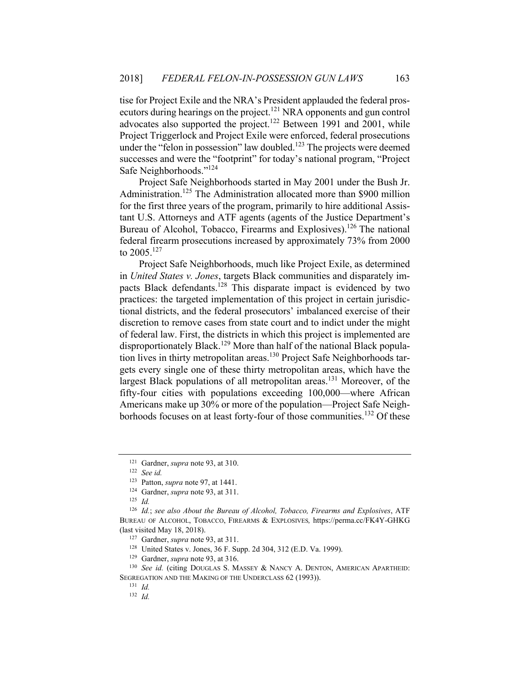tise for Project Exile and the NRA's President applauded the federal prosecutors during hearings on the project.<sup>121</sup> NRA opponents and gun control advocates also supported the project.<sup>122</sup> Between 1991 and 2001, while Project Triggerlock and Project Exile were enforced, federal prosecutions under the "felon in possession" law doubled.<sup>123</sup> The projects were deemed successes and were the "footprint" for today's national program, "Project Safe Neighborhoods."124

Project Safe Neighborhoods started in May 2001 under the Bush Jr. Administration.<sup>125</sup> The Administration allocated more than \$900 million for the first three years of the program, primarily to hire additional Assistant U.S. Attorneys and ATF agents (agents of the Justice Department's Bureau of Alcohol, Tobacco, Firearms and Explosives).<sup>126</sup> The national federal firearm prosecutions increased by approximately 73% from 2000 to  $2005$ <sup>127</sup>

Project Safe Neighborhoods, much like Project Exile, as determined in *United States v. Jones*, targets Black communities and disparately impacts Black defendants.128 This disparate impact is evidenced by two practices: the targeted implementation of this project in certain jurisdictional districts, and the federal prosecutors' imbalanced exercise of their discretion to remove cases from state court and to indict under the might of federal law. First, the districts in which this project is implemented are disproportionately Black.<sup>129</sup> More than half of the national Black population lives in thirty metropolitan areas.<sup>130</sup> Project Safe Neighborhoods targets every single one of these thirty metropolitan areas, which have the largest Black populations of all metropolitan areas.<sup>131</sup> Moreover, of the fifty-four cities with populations exceeding 100,000—where African Americans make up 30% or more of the population—Project Safe Neighborhoods focuses on at least forty-four of those communities.<sup>132</sup> Of these

<sup>121</sup> Gardner, *supra* note 93, at 310. 122 *See id.* 

<sup>123</sup> Patton, *supra* note 97, at 1441. 124 Gardner, *supra* note 93, at 311. 125 *Id.* 

<sup>126</sup> *Id.*; *see also About the Bureau of Alcohol, Tobacco, Firearms and Explosives*, ATF BUREAU OF ALCOHOL, TOBACCO, FIREARMS & EXPLOSIVES*,* https://perma.cc/FK4Y-GHKG (last visited May 18, 2018).

<sup>&</sup>lt;sup>127</sup> Gardner, *supra* note 93, at 311.<br><sup>128</sup> United States v. Jones, 36 F. Supp. 2d 304, 312 (E.D. Va. 1999).

<sup>&</sup>lt;sup>129</sup> Gardner, *supra* note 93, at 316.<br><sup>130</sup> See *id.* (citing DOUGLAS S. MASSEY & NANCY A. DENTON, AMERICAN APARTHEID: SEGREGATION AND THE MAKING OF THE UNDERCLASS 62 (1993)).<br><sup>131</sup> *Id.* 

<sup>132</sup> *Id.*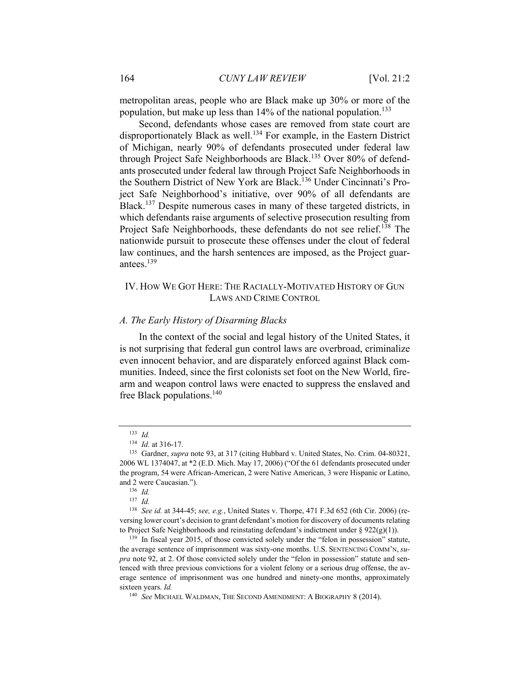metropolitan areas, people who are Black make up 30% or more of the population, but make up less than  $14\%$  of the national population.<sup>133</sup>

Second, defendants whose cases are removed from state court are disproportionately Black as well.<sup>134</sup> For example, in the Eastern District of Michigan, nearly 90% of defendants prosecuted under federal law through Project Safe Neighborhoods are Black.<sup>135</sup> Over 80% of defendants prosecuted under federal law through Project Safe Neighborhoods in the Southern District of New York are Black.136 Under Cincinnati's Project Safe Neighborhood's initiative, over 90% of all defendants are Black.<sup>137</sup> Despite numerous cases in many of these targeted districts, in which defendants raise arguments of selective prosecution resulting from Project Safe Neighborhoods, these defendants do not see relief.<sup>138</sup> The nationwide pursuit to prosecute these offenses under the clout of federal law continues, and the harsh sentences are imposed, as the Project guarantees.139

## IV. HOW WE GOT HERE: THE RACIALLY-MOTIVATED HISTORY OF GUN LAWS AND CRIME CONTROL

#### *A. The Early History of Disarming Blacks*

In the context of the social and legal history of the United States, it is not surprising that federal gun control laws are overbroad, criminalize even innocent behavior, and are disparately enforced against Black communities. Indeed, since the first colonists set foot on the New World, firearm and weapon control laws were enacted to suppress the enslaved and free Black populations. $140$ 

<sup>&</sup>lt;sup>133</sup> *Id.* <br><sup>134</sup> *Id.* at 316-17.

<sup>&</sup>lt;sup>135</sup> Gardner, *supra* note 93, at 317 (citing Hubbard v. United States, No. Crim. 04-80321, 2006 WL 1374047, at \*2 (E.D. Mich. May 17, 2006) ("Of the 61 defendants prosecuted under the program, 54 were African-American, 2 were Native American, 3 were Hispanic or Latino, and 2 were Caucasian."). 136 *Id.* 

<sup>137</sup> *Id.* 

<sup>138</sup> *See id.* at 344-45; *see, e.g.*, United States v. Thorpe, 471 F.3d 652 (6th Cir. 2006) (reversing lower court's decision to grant defendant's motion for discovery of documents relating to Project Safe Neighborhoods and reinstating defendant's indictment under § 922(g)(1)). <sup>139</sup> In fiscal year 2015, of those convicted solely under the "felon in possession" statute,

the average sentence of imprisonment was sixty-one months. U.S. SENTENCING COMM'N, *supra* note 92, at 2. Of those convicted solely under the "felon in possession" statute and sentenced with three previous convictions for a violent felony or a serious drug offense, the average sentence of imprisonment was one hundred and ninety-one months, approximately sixteen years. *Id.*

<sup>140</sup> *See* MICHAEL WALDMAN, THE SECOND AMENDMENT: A BIOGRAPHY 8 (2014).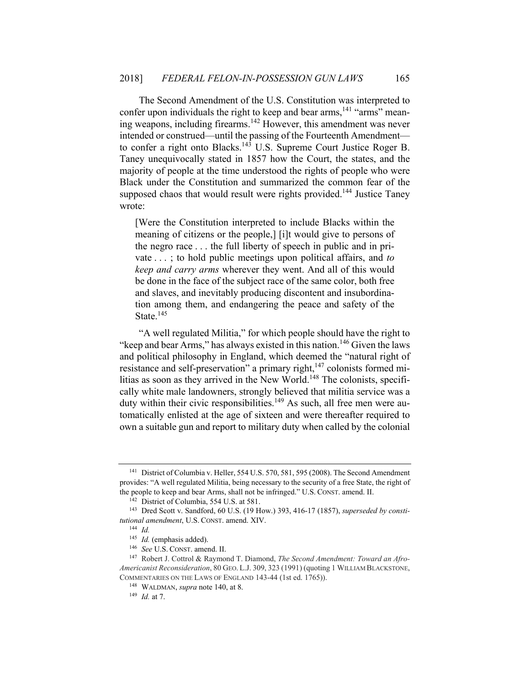The Second Amendment of the U.S. Constitution was interpreted to confer upon individuals the right to keep and bear arms,<sup>141</sup> "arms" meaning weapons, including firearms.142 However, this amendment was never intended or construed—until the passing of the Fourteenth Amendment to confer a right onto Blacks.<sup>143</sup> U.S. Supreme Court Justice Roger B. Taney unequivocally stated in 1857 how the Court, the states, and the majority of people at the time understood the rights of people who were Black under the Constitution and summarized the common fear of the supposed chaos that would result were rights provided.<sup>144</sup> Justice Taney wrote:

[Were the Constitution interpreted to include Blacks within the meaning of citizens or the people,] [i]t would give to persons of the negro race . . . the full liberty of speech in public and in private . . . ; to hold public meetings upon political affairs, and *to keep and carry arms* wherever they went. And all of this would be done in the face of the subject race of the same color, both free and slaves, and inevitably producing discontent and insubordination among them, and endangering the peace and safety of the State.<sup>145</sup>

"A well regulated Militia," for which people should have the right to "keep and bear Arms," has always existed in this nation.<sup>146</sup> Given the laws and political philosophy in England, which deemed the "natural right of resistance and self-preservation" a primary right,<sup>147</sup> colonists formed militias as soon as they arrived in the New World.<sup>148</sup> The colonists, specifically white male landowners, strongly believed that militia service was a duty within their civic responsibilities.<sup>149</sup> As such, all free men were automatically enlisted at the age of sixteen and were thereafter required to own a suitable gun and report to military duty when called by the colonial

<sup>141</sup> District of Columbia v. Heller, 554 U.S. 570, 581, 595 (2008). The Second Amendment provides: "A well regulated Militia, being necessary to the security of a free State, the right of the people to keep and bear Arms, shall not be infringed." U.S. CONST. amend. II. 142 District of Columbia, 554 U.S. at 581. 143 Dred Scott v. Sandford, 60 U.S. (19 How.) 393, 416-17 (1857), *superseded by consti-*

*tutional amendment*, U.S. CONST. amend. XIV.<br><sup>144</sup> *Id.* (emphasis added).

<sup>&</sup>lt;sup>146</sup> See U.S. CONST. amend. II.<br><sup>147</sup> Robert J. Cottrol & Raymond T. Diamond, *The Second Amendment: Toward an Afro-Americanist Reconsideration*, 80 GEO. L.J. 309, 323 (1991) (quoting 1 WILLIAM BLACKSTONE, COMMENTARIES ON THE LAWS OF ENGLAND 143-44 (1st ed. 1765)).

<sup>148</sup> WALDMAN, *supra* note 140, at 8. 149 *Id.* at 7.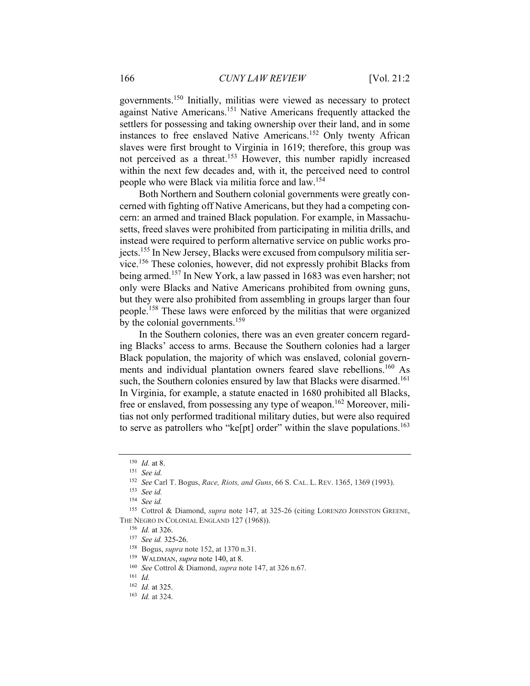governments.150 Initially, militias were viewed as necessary to protect against Native Americans.151 Native Americans frequently attacked the settlers for possessing and taking ownership over their land, and in some instances to free enslaved Native Americans.152 Only twenty African slaves were first brought to Virginia in 1619; therefore, this group was not perceived as a threat.<sup>153</sup> However, this number rapidly increased within the next few decades and, with it, the perceived need to control people who were Black via militia force and law.154

Both Northern and Southern colonial governments were greatly concerned with fighting off Native Americans, but they had a competing concern: an armed and trained Black population. For example, in Massachusetts, freed slaves were prohibited from participating in militia drills, and instead were required to perform alternative service on public works projects.<sup>155</sup> In New Jersey, Blacks were excused from compulsory militia service.156 These colonies, however, did not expressly prohibit Blacks from being armed.157 In New York, a law passed in 1683 was even harsher; not only were Blacks and Native Americans prohibited from owning guns, but they were also prohibited from assembling in groups larger than four people.158 These laws were enforced by the militias that were organized by the colonial governments.<sup>159</sup>

In the Southern colonies, there was an even greater concern regarding Blacks' access to arms. Because the Southern colonies had a larger Black population, the majority of which was enslaved, colonial governments and individual plantation owners feared slave rebellions.<sup>160</sup> As such, the Southern colonies ensured by law that Blacks were disarmed.<sup>161</sup> In Virginia, for example, a statute enacted in 1680 prohibited all Blacks, free or enslaved, from possessing any type of weapon.<sup>162</sup> Moreover, militias not only performed traditional military duties, but were also required to serve as patrollers who "ke[pt] order" within the slave populations.<sup>163</sup>

<sup>150</sup> *Id.* at 8. 151 *See id.*

<sup>152</sup> *See* Carl T. Bogus, *Race, Riots, and Guns*, 66 S. CAL. L. REV. 1365, 1369 (1993).

<sup>153</sup> *See id.*

<sup>154</sup> *See id.*

<sup>155</sup> Cottrol & Diamond, *supra* note 147, at 325-26 (citing LORENZO JOHNSTON GREENE, THE NEGRO IN COLONIAL ENGLAND 127 (1968)).

<sup>156</sup> *Id.* at 326. 157 *See id.* 325-26. 158 Bogus, *supra* note 152, at 1370 n.31. 159 WALDMAN, *supra* note 140, at 8. 160 *See* Cottrol & Diamond, *supra* note 147, at 326 n.67.

<sup>161</sup> *Id.*

<sup>162</sup> *Id.* at 325. 163 *Id.* at 324.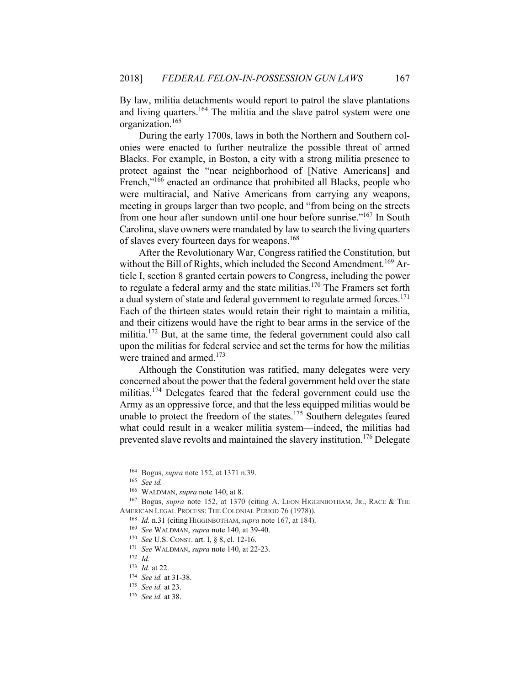By law, militia detachments would report to patrol the slave plantations and living quarters.<sup>164</sup> The militia and the slave patrol system were one organization.165

During the early 1700s, laws in both the Northern and Southern colonies were enacted to further neutralize the possible threat of armed Blacks. For example, in Boston, a city with a strong militia presence to protect against the "near neighborhood of [Native Americans] and French,"<sup>166</sup> enacted an ordinance that prohibited all Blacks, people who were multiracial, and Native Americans from carrying any weapons, meeting in groups larger than two people, and "from being on the streets from one hour after sundown until one hour before sunrise."<sup>167</sup> In South Carolina, slave owners were mandated by law to search the living quarters of slaves every fourteen days for weapons.<sup>168</sup>

After the Revolutionary War, Congress ratified the Constitution, but without the Bill of Rights, which included the Second Amendment.<sup>169</sup> Article I, section 8 granted certain powers to Congress, including the power to regulate a federal army and the state militias. $170$  The Framers set forth a dual system of state and federal government to regulate armed forces.<sup>171</sup> Each of the thirteen states would retain their right to maintain a militia, and their citizens would have the right to bear arms in the service of the militia.172 But, at the same time, the federal government could also call upon the militias for federal service and set the terms for how the militias were trained and armed.<sup>173</sup>

Although the Constitution was ratified, many delegates were very concerned about the power that the federal government held over the state militias.<sup>174</sup> Delegates feared that the federal government could use the Army as an oppressive force, and that the less equipped militias would be unable to protect the freedom of the states.<sup>175</sup> Southern delegates feared what could result in a weaker militia system—indeed, the militias had prevented slave revolts and maintained the slavery institution.<sup>176</sup> Delegate

<sup>164</sup> Bogus, *supra* note 152, at 1371 n.39.

<sup>165</sup> *See id.*

<sup>&</sup>lt;sup>166</sup> WALDMAN, *supra* note 140, at 8.<br><sup>167</sup> Bogus, *supra* note 152, at 1370 (citing A. LEON HIGGINBOTHAM, JR., RACE & THE AMERICAN LEGAL PROCESS: THE COLONIAL PERIOD 76 (1978)). 168 *Id.* n.31 (citing HIGGINBOTHAM, *supra* note 167, at 184).

<sup>169</sup> *See* WALDMAN, *supra* note 140, at 39-40. 170 *See* U.S. CONST. art. I, § 8, cl. 12-16. 171 *See* WALDMAN, *supra* note 140, at 22-23. 172 *Id.*

<sup>173</sup> *Id.* at 22. 174 *See id.* at 31-38. 175 *See id.* at 23. 176 *See id.* at 38.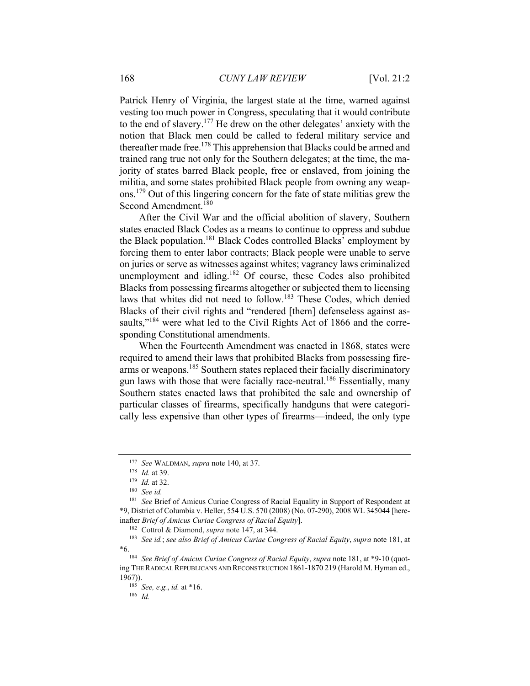Patrick Henry of Virginia, the largest state at the time, warned against vesting too much power in Congress, speculating that it would contribute to the end of slavery.177 He drew on the other delegates' anxiety with the notion that Black men could be called to federal military service and thereafter made free.<sup>178</sup> This apprehension that Blacks could be armed and trained rang true not only for the Southern delegates; at the time, the majority of states barred Black people, free or enslaved, from joining the militia, and some states prohibited Black people from owning any weapons.179 Out of this lingering concern for the fate of state militias grew the Second Amendment.<sup>180</sup>

After the Civil War and the official abolition of slavery, Southern states enacted Black Codes as a means to continue to oppress and subdue the Black population.<sup>181</sup> Black Codes controlled Blacks' employment by forcing them to enter labor contracts; Black people were unable to serve on juries or serve as witnesses against whites; vagrancy laws criminalized unemployment and idling.<sup>182</sup> Of course, these Codes also prohibited Blacks from possessing firearms altogether or subjected them to licensing laws that whites did not need to follow.<sup>183</sup> These Codes, which denied Blacks of their civil rights and "rendered [them] defenseless against assaults,"<sup>184</sup> were what led to the Civil Rights Act of 1866 and the corresponding Constitutional amendments.

When the Fourteenth Amendment was enacted in 1868, states were required to amend their laws that prohibited Blacks from possessing firearms or weapons.<sup>185</sup> Southern states replaced their facially discriminatory gun laws with those that were facially race-neutral.<sup>186</sup> Essentially, many Southern states enacted laws that prohibited the sale and ownership of particular classes of firearms, specifically handguns that were categorically less expensive than other types of firearms—indeed, the only type

<sup>177</sup> *See* WALDMAN, *supra* note 140, at 37. 178 *Id.* at 39. 179 *Id.* at 32. 180 *See id.*

<sup>181</sup> *See* Brief of Amicus Curiae Congress of Racial Equality in Support of Respondent at \*9, District of Columbia v. Heller, 554 U.S. 570 (2008) (No. 07-290), 2008 WL 345044 [hereinafter *Brief of Amicus Curiae Congress of Racial Equity*].<br><sup>182</sup> Cottrol & Diamond, *supra* note 147, at 344.<br><sup>183</sup> See id.; see also Brief of Amicus Curiae Congress of Racial Equity, supra note 181, at

<sup>\*6. 184</sup> *See Brief of Amicus Curiae Congress of Racial Equity*, *supra* note 181, at \*9-10 (quot-

ing THE RADICAL REPUBLICANS AND RECONSTRUCTION 1861-1870 219 (Harold M. Hyman ed., 1967)). 185 *See, e.g.*, *id.* at \*16. 186 *Id.*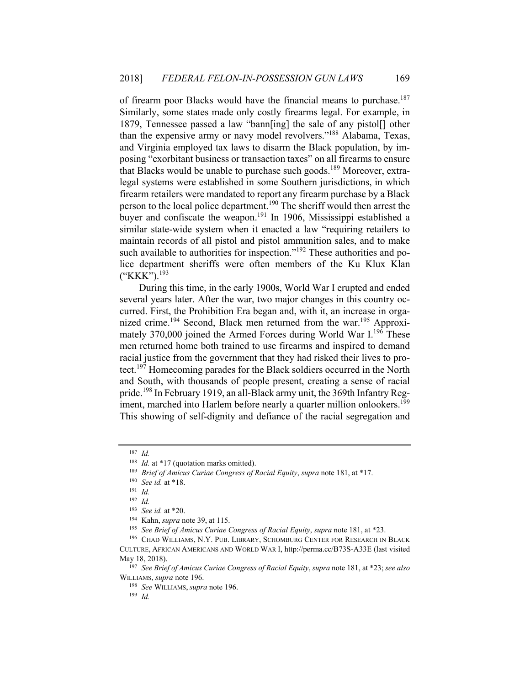of firearm poor Blacks would have the financial means to purchase.<sup>187</sup> Similarly, some states made only costly firearms legal. For example, in 1879, Tennessee passed a law "bann[ing] the sale of any pistol[] other than the expensive army or navy model revolvers."188 Alabama, Texas, and Virginia employed tax laws to disarm the Black population, by imposing "exorbitant business or transaction taxes" on all firearms to ensure that Blacks would be unable to purchase such goods.<sup>189</sup> Moreover, extralegal systems were established in some Southern jurisdictions, in which firearm retailers were mandated to report any firearm purchase by a Black person to the local police department.<sup>190</sup> The sheriff would then arrest the buyer and confiscate the weapon.<sup>191</sup> In 1906, Mississippi established a similar state-wide system when it enacted a law "requiring retailers to maintain records of all pistol and pistol ammunition sales, and to make such available to authorities for inspection."<sup>192</sup> These authorities and police department sheriffs were often members of the Ku Klux Klan  $(*KK")$ .<sup>193</sup>

During this time, in the early 1900s, World War I erupted and ended several years later. After the war, two major changes in this country occurred. First, the Prohibition Era began and, with it, an increase in organized crime.<sup>194</sup> Second, Black men returned from the war.<sup>195</sup> Approximately 370,000 joined the Armed Forces during World War  $I^{196}$  These men returned home both trained to use firearms and inspired to demand racial justice from the government that they had risked their lives to protect.197 Homecoming parades for the Black soldiers occurred in the North and South, with thousands of people present, creating a sense of racial pride.<sup>198</sup> In February 1919, an all-Black army unit, the 369th Infantry Regiment, marched into Harlem before nearly a quarter million onlookers.<sup>199</sup> This showing of self-dignity and defiance of the racial segregation and

<sup>187</sup> *Id.*

<sup>188</sup> *Id.* at \*17 (quotation marks omitted). 189 *Brief of Amicus Curiae Congress of Racial Equity*, *supra* note 181, at \*17. 190 *See id.* at \*18. 191 *Id.*

<sup>192</sup> *Id.*

<sup>&</sup>lt;sup>193</sup> See id. at \*20.<br><sup>194</sup> Kahn, *supra* note 39, at 115.<br><sup>195</sup> See Brief of Amicus Curiae Congress of Racial Equity, supra note 181, at \*23.<br><sup>196</sup> CHAD WILLIAMS, N.Y. PUB. LIBRARY, SCHOMBURG CENTER FOR RESEARCH IN BLACK

CULTURE, AFRICAN AMERICANS AND WORLD WAR I, http://perma.cc/B73S-A33E (last visited

May 18, 2018). 197 *See Brief of Amicus Curiae Congress of Racial Equity*, *supra* note 181, at \*23; *see also* WILLIAMS, *supra* note 196. 198 *See* WILLIAMS, *supra* note 196. 199 *Id.*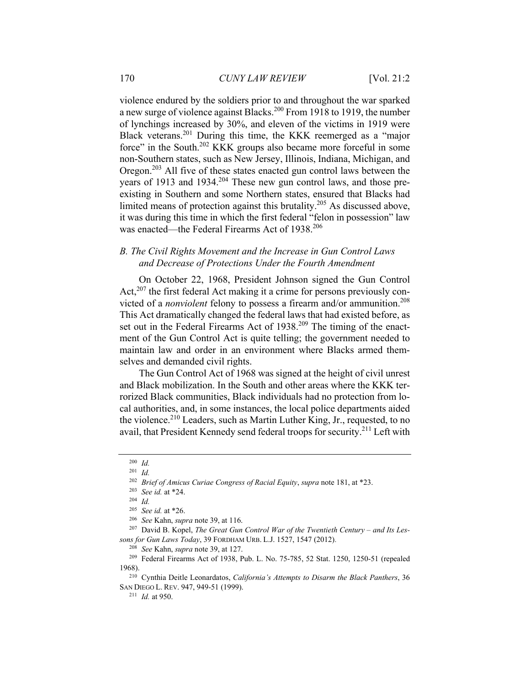violence endured by the soldiers prior to and throughout the war sparked a new surge of violence against Blacks.200 From 1918 to 1919, the number of lynchings increased by 30%, and eleven of the victims in 1919 were Black veterans.<sup>201</sup> During this time, the KKK reemerged as a "major" force" in the South.202 KKK groups also became more forceful in some non-Southern states, such as New Jersey, Illinois, Indiana, Michigan, and Oregon.203 All five of these states enacted gun control laws between the years of 1913 and 1934.<sup>204</sup> These new gun control laws, and those preexisting in Southern and some Northern states, ensured that Blacks had limited means of protection against this brutality.<sup>205</sup> As discussed above, it was during this time in which the first federal "felon in possession" law was enacted—the Federal Firearms Act of 1938.<sup>206</sup>

#### *B. The Civil Rights Movement and the Increase in Gun Control Laws and Decrease of Protections Under the Fourth Amendment*

On October 22, 1968, President Johnson signed the Gun Control Act, $207$  the first federal Act making it a crime for persons previously convicted of a *nonviolent* felony to possess a firearm and/or ammunition.<sup>208</sup> This Act dramatically changed the federal laws that had existed before, as set out in the Federal Firearms Act of 1938.<sup>209</sup> The timing of the enactment of the Gun Control Act is quite telling; the government needed to maintain law and order in an environment where Blacks armed themselves and demanded civil rights.

The Gun Control Act of 1968 was signed at the height of civil unrest and Black mobilization. In the South and other areas where the KKK terrorized Black communities, Black individuals had no protection from local authorities, and, in some instances, the local police departments aided the violence.<sup>210</sup> Leaders, such as Martin Luther King, Jr., requested, to no avail, that President Kennedy send federal troops for security.<sup>211</sup> Left with

<sup>200</sup> *Id.*

<sup>201</sup> *Id.*

<sup>202</sup> *Brief of Amicus Curiae Congress of Racial Equity*, *supra* note 181, at \*23. 203 *See id.* at \*24. 204 *Id.*

<sup>205</sup> *See id.* at \*26. 206 *See* Kahn, *supra* note 39, at 116. 207 David B. Kopel, *The Great Gun Control War of the Twentieth Century* – *and Its Lessons for Gun Laws Today*, 39 FORDHAM URB. L.J. 1527, 1547 (2012).

<sup>208</sup> *See* Kahn, *supra* note 39, at 127.

<sup>209</sup> Federal Firearms Act of 1938, Pub. L. No. 75-785, 52 Stat. 1250, 1250-51 (repealed 1968). 210 Cynthia Deitle Leonardatos, *California's Attempts to Disarm the Black Panthers*, 36

SAN DIEGO L. REV. 947, 949-51 (1999).

<sup>211</sup> *Id.* at 950.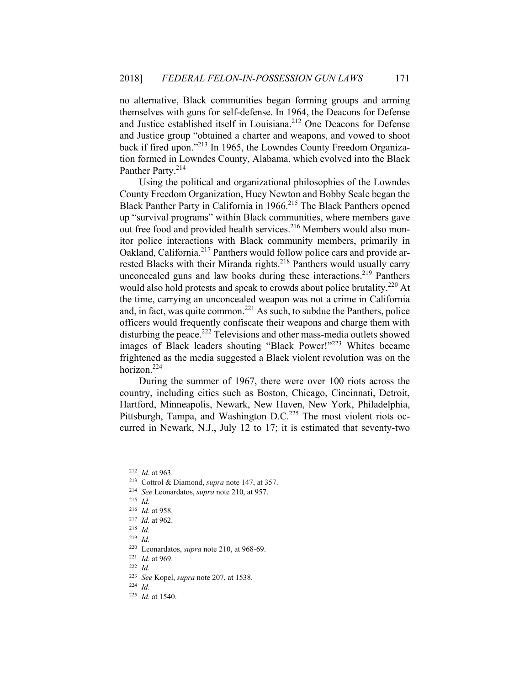no alternative, Black communities began forming groups and arming themselves with guns for self-defense. In 1964, the Deacons for Defense and Justice established itself in Louisiana.<sup>212</sup> One Deacons for Defense and Justice group "obtained a charter and weapons, and vowed to shoot back if fired upon."213 In 1965, the Lowndes County Freedom Organization formed in Lowndes County, Alabama, which evolved into the Black Panther Party.<sup>214</sup>

Using the political and organizational philosophies of the Lowndes County Freedom Organization, Huey Newton and Bobby Seale began the Black Panther Party in California in 1966.<sup>215</sup> The Black Panthers opened up "survival programs" within Black communities, where members gave out free food and provided health services.<sup>216</sup> Members would also monitor police interactions with Black community members, primarily in Oakland, California.<sup>217</sup> Panthers would follow police cars and provide arrested Blacks with their Miranda rights.<sup>218</sup> Panthers would usually carry unconcealed guns and law books during these interactions.<sup>219</sup> Panthers would also hold protests and speak to crowds about police brutality.<sup>220</sup> At the time, carrying an unconcealed weapon was not a crime in California and, in fact, was quite common.<sup>221</sup> As such, to subdue the Panthers, police officers would frequently confiscate their weapons and charge them with disturbing the peace.<sup>222</sup> Televisions and other mass-media outlets showed images of Black leaders shouting "Black Power!"<sup>223</sup> Whites became frightened as the media suggested a Black violent revolution was on the horizon.224

During the summer of 1967, there were over 100 riots across the country, including cities such as Boston, Chicago, Cincinnati, Detroit, Hartford, Minneapolis, Newark, New Haven, New York, Philadelphia, Pittsburgh, Tampa, and Washington D.C.<sup>225</sup> The most violent riots occurred in Newark, N.J., July 12 to 17; it is estimated that seventy-two

<sup>212</sup> *Id.* at 963. 213 Cottrol & Diamond, *supra* note 147, at 357.

<sup>214</sup> *See* Leonardatos, *supra* note 210, at 957. 215 *Id.*

<sup>216</sup> *Id.* at 958. 217 *Id.* at 962. 218 *Id.*

<sup>219</sup> *Id.*

<sup>220</sup> Leonardatos, *supra* note 210, at 968-69. 221 *Id.* at 969. 222 *Id.*

<sup>223</sup> *See* Kopel, *supra* note 207, at 1538. 224 *Id.* 

<sup>225</sup> *Id.* at 1540.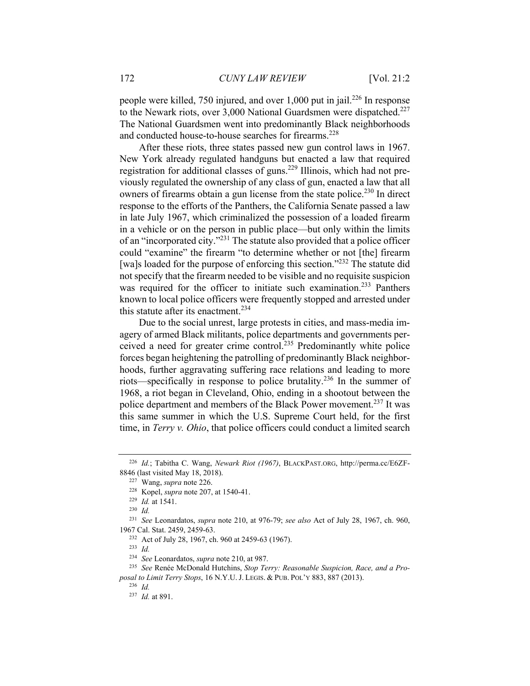people were killed, 750 injured, and over 1,000 put in jail.<sup>226</sup> In response to the Newark riots, over  $3,000$  National Guardsmen were dispatched.<sup>227</sup> The National Guardsmen went into predominantly Black neighborhoods and conducted house-to-house searches for firearms.<sup>228</sup>

After these riots, three states passed new gun control laws in 1967. New York already regulated handguns but enacted a law that required registration for additional classes of guns.229 Illinois, which had not previously regulated the ownership of any class of gun, enacted a law that all owners of firearms obtain a gun license from the state police.<sup>230</sup> In direct response to the efforts of the Panthers, the California Senate passed a law in late July 1967, which criminalized the possession of a loaded firearm in a vehicle or on the person in public place—but only within the limits of an "incorporated city."231 The statute also provided that a police officer could "examine" the firearm "to determine whether or not [the] firearm [wa]s loaded for the purpose of enforcing this section."<sup>232</sup> The statute did not specify that the firearm needed to be visible and no requisite suspicion was required for the officer to initiate such examination.<sup>233</sup> Panthers known to local police officers were frequently stopped and arrested under this statute after its enactment.<sup>234</sup>

Due to the social unrest, large protests in cities, and mass-media imagery of armed Black militants, police departments and governments perceived a need for greater crime control.<sup>235</sup> Predominantly white police forces began heightening the patrolling of predominantly Black neighborhoods, further aggravating suffering race relations and leading to more riots—specifically in response to police brutality.236 In the summer of 1968, a riot began in Cleveland, Ohio, ending in a shootout between the police department and members of the Black Power movement.237 It was this same summer in which the U.S. Supreme Court held, for the first time, in *Terry v. Ohio*, that police officers could conduct a limited search

<sup>226</sup> *Id.*; Tabitha C. Wang, *Newark Riot (1967)*, BLACKPAST.ORG, http://perma.cc/E6ZF-

<sup>8846 (</sup>last visited May 18, 2018). 227 Wang, *supra* note 226. 228 Kopel, *supra* note 207, at 1540-41. 229 *Id.* at 1541. 230 *Id.*

<sup>231</sup> *See* Leonardatos, *supra* note 210, at 976-79; *see also* Act of July 28, 1967, ch. 960, 1967 Cal. Stat. 2459, 2459-63.

<sup>232</sup> Act of July 28, 1967, ch. 960 at 2459-63 (1967). 233 *Id.*

<sup>234</sup> *See* Leonardatos, *supra* note 210, at 987. 235 *See* Renée McDonald Hutchins, *Stop Terry: Reasonable Suspicion, Race, and a Proposal to Limit Terry Stops*, 16 N.Y.U. J. LEGIS. & PUB. POL'Y 883, 887 (2013).

<sup>236</sup> *Id.*

<sup>237</sup> *Id.* at 891.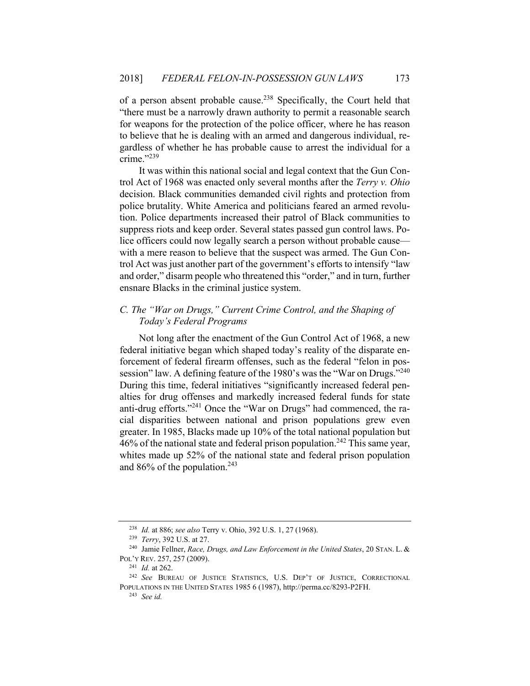of a person absent probable cause.238 Specifically, the Court held that "there must be a narrowly drawn authority to permit a reasonable search for weapons for the protection of the police officer, where he has reason to believe that he is dealing with an armed and dangerous individual, regardless of whether he has probable cause to arrest the individual for a crime."239

It was within this national social and legal context that the Gun Control Act of 1968 was enacted only several months after the *Terry v. Ohio* decision. Black communities demanded civil rights and protection from police brutality. White America and politicians feared an armed revolution. Police departments increased their patrol of Black communities to suppress riots and keep order. Several states passed gun control laws. Police officers could now legally search a person without probable cause with a mere reason to believe that the suspect was armed. The Gun Control Act was just another part of the government's efforts to intensify "law and order," disarm people who threatened this "order," and in turn, further ensnare Blacks in the criminal justice system.

## *C. The "War on Drugs," Current Crime Control, and the Shaping of Today's Federal Programs*

Not long after the enactment of the Gun Control Act of 1968, a new federal initiative began which shaped today's reality of the disparate enforcement of federal firearm offenses, such as the federal "felon in possession" law. A defining feature of the 1980's was the "War on Drugs."<sup>240</sup> During this time, federal initiatives "significantly increased federal penalties for drug offenses and markedly increased federal funds for state anti-drug efforts."<sup>241</sup> Once the "War on Drugs" had commenced, the racial disparities between national and prison populations grew even greater. In 1985, Blacks made up 10% of the total national population but  $46\%$  of the national state and federal prison population.<sup>242</sup> This same year, whites made up 52% of the national state and federal prison population and  $86%$  of the population.<sup>243</sup>

<sup>238</sup> *Id.* at 886; *see also* Terry v. Ohio, 392 U.S. 1, 27 (1968). 239 *Terry*, 392 U.S. at 27. 240 Jamie Fellner, *Race, Drugs, and Law Enforcement in the United States*, 20 STAN. L. & POL'Y REV. 257, 257 (2009). 241 *Id.* at 262. 242 *See* BUREAU OF JUSTICE STATISTICS, U.S. DEP'T OF JUSTICE, CORRECTIONAL

POPULATIONS IN THE UNITED STATES 1985 6 (1987), http://perma.cc/8293-P2FH. 243 *See id.*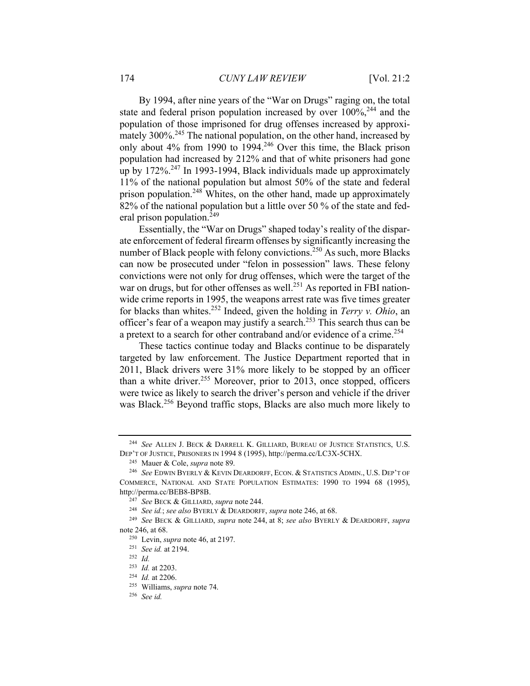By 1994, after nine years of the "War on Drugs" raging on, the total state and federal prison population increased by over  $100\%$ ,  $^{244}$  and the population of those imprisoned for drug offenses increased by approximately 300%.<sup>245</sup> The national population, on the other hand, increased by only about 4% from 1990 to 1994.<sup>246</sup> Over this time, the Black prison population had increased by 212% and that of white prisoners had gone up by  $172\%$ <sup>247</sup> In 1993-1994, Black individuals made up approximately 11% of the national population but almost 50% of the state and federal prison population.<sup>248</sup> Whites, on the other hand, made up approximately 82% of the national population but a little over 50 % of the state and federal prison population. $^{249}$ 

Essentially, the "War on Drugs" shaped today's reality of the disparate enforcement of federal firearm offenses by significantly increasing the number of Black people with felony convictions.<sup>250</sup> As such, more Blacks can now be prosecuted under "felon in possession" laws. These felony convictions were not only for drug offenses, which were the target of the war on drugs, but for other offenses as well.<sup>251</sup> As reported in FBI nationwide crime reports in 1995, the weapons arrest rate was five times greater for blacks than whites.252 Indeed, given the holding in *Terry v. Ohio*, an officer's fear of a weapon may justify a search.<sup>253</sup> This search thus can be a pretext to a search for other contraband and/or evidence of a crime.<sup>254</sup>

These tactics continue today and Blacks continue to be disparately targeted by law enforcement. The Justice Department reported that in 2011, Black drivers were 31% more likely to be stopped by an officer than a white driver.<sup>255</sup> Moreover, prior to 2013, once stopped, officers were twice as likely to search the driver's person and vehicle if the driver was Black.<sup>256</sup> Beyond traffic stops, Blacks are also much more likely to

<sup>244</sup> *See* ALLEN J. BECK & DARRELL K. GILLIARD, BUREAU OF JUSTICE STATISTICS, U.S. DEP'T OF JUSTICE, PRISONERS IN 1994 8 (1995), http://perma.cc/LC3X-5CHX. 245 Mauer & Cole, *supra* note 89. 246 *See* EDWIN BYERLY & KEVIN DEARDORFF, ECON. & STATISTICS ADMIN., U.S. DEP'T OF

COMMERCE, NATIONAL AND STATE POPULATION ESTIMATES: 1990 TO 1994 68 (1995), http://perma.cc/BEB8-BP8B.<br>
<sup>247</sup> See BECK & GILLIARD, *supra* note 244.<br>
<sup>248</sup> See id.; see also BYERLY & DEARDORFF, *supra* note 246, at 68.<br>
<sup>249</sup> See BECK & GILLIARD, *supra* note 244, at 8; *see also* BYERLY & DEARDOR

note 246, at 68. 250 Levin, *supra* note 46, at 2197. 251 *See id.* at 2194. 252 *Id.*

<sup>253</sup> *Id.* at 2203. 254 *Id.* at 2206. 255 Williams, *supra* note 74. 256 *See id.*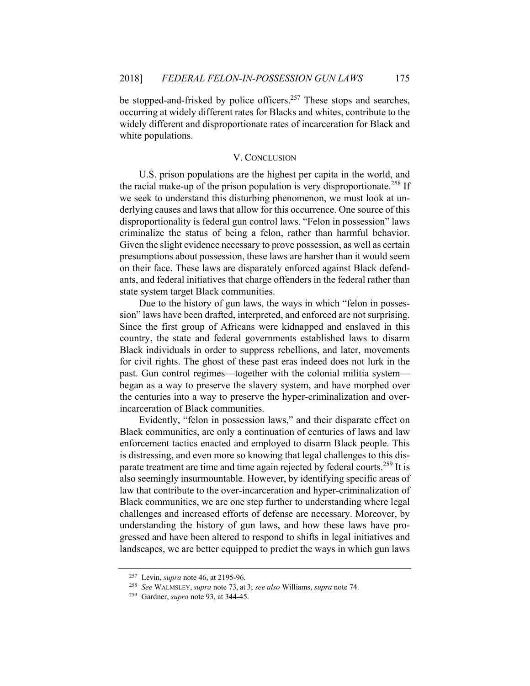be stopped-and-frisked by police officers.<sup>257</sup> These stops and searches, occurring at widely different rates for Blacks and whites, contribute to the widely different and disproportionate rates of incarceration for Black and white populations.

#### V. CONCLUSION

U.S. prison populations are the highest per capita in the world, and the racial make-up of the prison population is very disproportionate.<sup>258</sup> If we seek to understand this disturbing phenomenon, we must look at underlying causes and laws that allow for this occurrence. One source of this disproportionality is federal gun control laws. "Felon in possession" laws criminalize the status of being a felon, rather than harmful behavior. Given the slight evidence necessary to prove possession, as well as certain presumptions about possession, these laws are harsher than it would seem on their face. These laws are disparately enforced against Black defendants, and federal initiatives that charge offenders in the federal rather than state system target Black communities.

Due to the history of gun laws, the ways in which "felon in possession" laws have been drafted, interpreted, and enforced are not surprising. Since the first group of Africans were kidnapped and enslaved in this country, the state and federal governments established laws to disarm Black individuals in order to suppress rebellions, and later, movements for civil rights. The ghost of these past eras indeed does not lurk in the past. Gun control regimes—together with the colonial militia system began as a way to preserve the slavery system, and have morphed over the centuries into a way to preserve the hyper-criminalization and overincarceration of Black communities.

Evidently, "felon in possession laws," and their disparate effect on Black communities, are only a continuation of centuries of laws and law enforcement tactics enacted and employed to disarm Black people. This is distressing, and even more so knowing that legal challenges to this disparate treatment are time and time again rejected by federal courts.<sup>259</sup> It is also seemingly insurmountable. However, by identifying specific areas of law that contribute to the over-incarceration and hyper-criminalization of Black communities, we are one step further to understanding where legal challenges and increased efforts of defense are necessary. Moreover, by understanding the history of gun laws, and how these laws have progressed and have been altered to respond to shifts in legal initiatives and landscapes, we are better equipped to predict the ways in which gun laws

<sup>257</sup> Levin, *supra* note 46, at 2195-96. 258 *See* WALMSLEY, *supra* note 73, at 3; *see also* Williams, *supra* note 74. 259 Gardner, *supra* note 93, at 344-45.